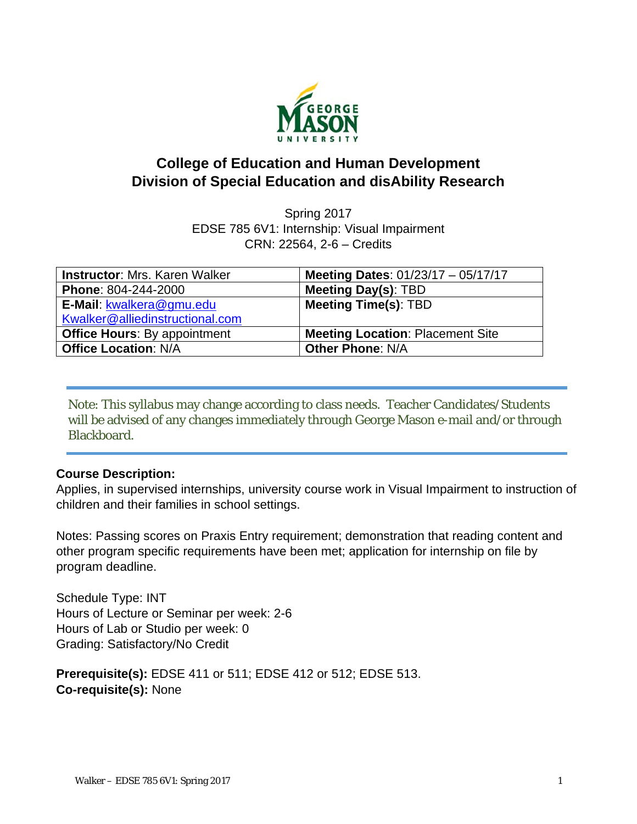

# **College of Education and Human Development Division of Special Education and disAbility Research**

Spring 2017 EDSE 785 6V1: Internship: Visual Impairment CRN: 22564, 2-6 – Credits

| <b>Instructor: Mrs. Karen Walker</b> | Meeting Dates: $01/23/17 - 05/17/17$    |
|--------------------------------------|-----------------------------------------|
| Phone: 804-244-2000                  | Meeting Day(s): TBD                     |
| E-Mail: kwalkera@gmu.edu             | <b>Meeting Time(s): TBD</b>             |
| Kwalker@alliedinstructional.com      |                                         |
| <b>Office Hours: By appointment</b>  | <b>Meeting Location: Placement Site</b> |
| <b>Office Location: N/A</b>          | <b>Other Phone: N/A</b>                 |

Note: This syllabus may change according to class needs. Teacher Candidates/Students will be advised of any changes immediately through George Mason e-mail and/or through Blackboard.

#### **Course Description:**

Applies, in supervised internships, university course work in Visual Impairment to instruction of children and their families in school settings.

Notes: Passing scores on Praxis Entry requirement; demonstration that reading content and other program specific requirements have been met; application for internship on file by program deadline.

Schedule Type: INT Hours of Lecture or Seminar per week: 2-6 Hours of Lab or Studio per week: 0 Grading: Satisfactory/No Credit

**Prerequisite(s):** EDSE 411 or 511; EDSE 412 or 512; EDSE 513. **Co-requisite(s):** None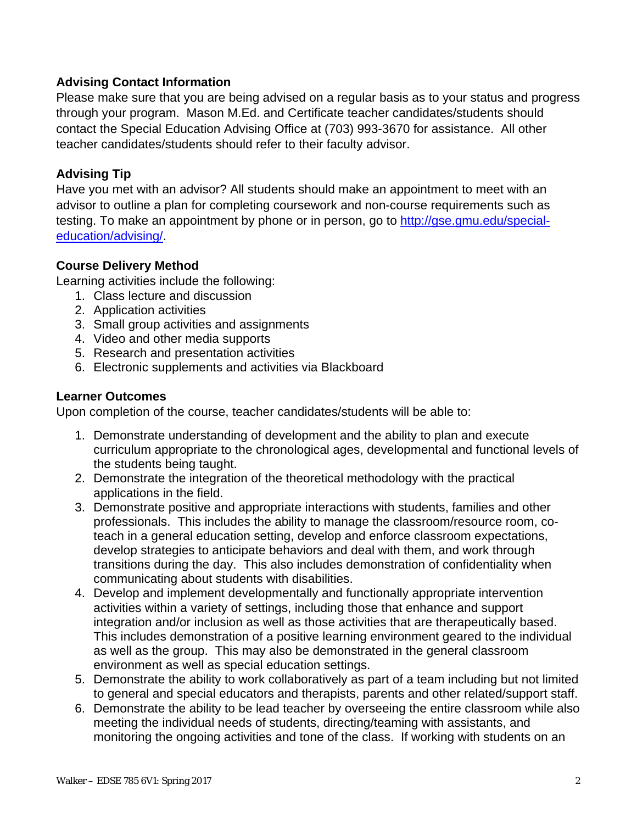## **Advising Contact Information**

Please make sure that you are being advised on a regular basis as to your status and progress through your program. Mason M.Ed. and Certificate teacher candidates/students should contact the Special Education Advising Office at (703) 993-3670 for assistance. All other teacher candidates/students should refer to their faculty advisor.

## **Advising Tip**

Have you met with an advisor? All students should make an appointment to meet with an advisor to outline a plan for completing coursework and non-course requirements such as testing. To make an appointment by phone or in person, go to http://gse.gmu.edu/specialeducation/advising/.

## **Course Delivery Method**

Learning activities include the following:

- 1. Class lecture and discussion
- 2. Application activities
- 3. Small group activities and assignments
- 4. Video and other media supports
- 5. Research and presentation activities
- 6. Electronic supplements and activities via Blackboard

#### **Learner Outcomes**

Upon completion of the course, teacher candidates/students will be able to:

- 1. Demonstrate understanding of development and the ability to plan and execute curriculum appropriate to the chronological ages, developmental and functional levels of the students being taught.
- 2. Demonstrate the integration of the theoretical methodology with the practical applications in the field.
- 3. Demonstrate positive and appropriate interactions with students, families and other professionals. This includes the ability to manage the classroom/resource room, coteach in a general education setting, develop and enforce classroom expectations, develop strategies to anticipate behaviors and deal with them, and work through transitions during the day. This also includes demonstration of confidentiality when communicating about students with disabilities.
- 4. Develop and implement developmentally and functionally appropriate intervention activities within a variety of settings, including those that enhance and support integration and/or inclusion as well as those activities that are therapeutically based. This includes demonstration of a positive learning environment geared to the individual as well as the group. This may also be demonstrated in the general classroom environment as well as special education settings.
- 5. Demonstrate the ability to work collaboratively as part of a team including but not limited to general and special educators and therapists, parents and other related/support staff.
- 6. Demonstrate the ability to be lead teacher by overseeing the entire classroom while also meeting the individual needs of students, directing/teaming with assistants, and monitoring the ongoing activities and tone of the class. If working with students on an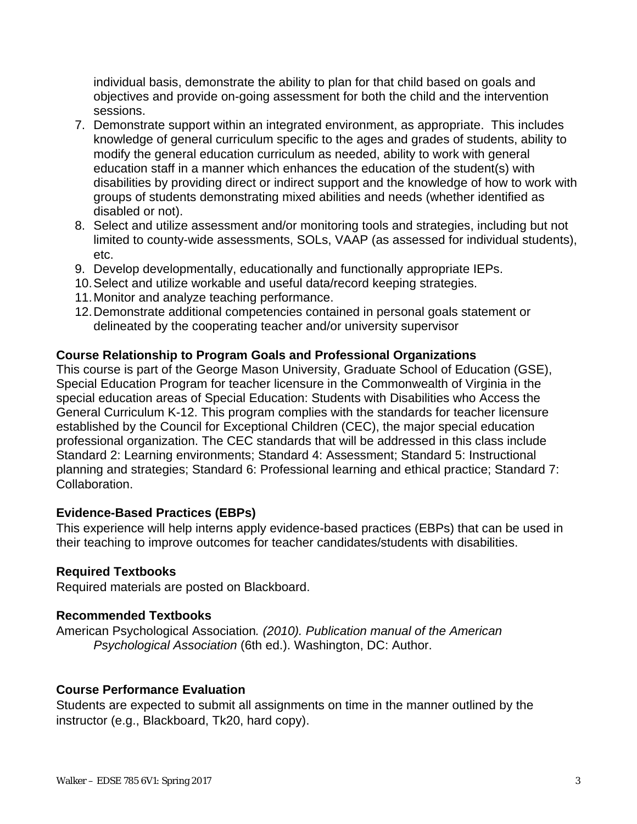individual basis, demonstrate the ability to plan for that child based on goals and objectives and provide on-going assessment for both the child and the intervention sessions.

- 7. Demonstrate support within an integrated environment, as appropriate. This includes knowledge of general curriculum specific to the ages and grades of students, ability to modify the general education curriculum as needed, ability to work with general education staff in a manner which enhances the education of the student(s) with disabilities by providing direct or indirect support and the knowledge of how to work with groups of students demonstrating mixed abilities and needs (whether identified as disabled or not).
- 8. Select and utilize assessment and/or monitoring tools and strategies, including but not limited to county-wide assessments, SOLs, VAAP (as assessed for individual students), etc.
- 9. Develop developmentally, educationally and functionally appropriate IEPs.
- 10. Select and utilize workable and useful data/record keeping strategies.
- 11. Monitor and analyze teaching performance.
- 12. Demonstrate additional competencies contained in personal goals statement or delineated by the cooperating teacher and/or university supervisor

## **Course Relationship to Program Goals and Professional Organizations**

This course is part of the George Mason University, Graduate School of Education (GSE), Special Education Program for teacher licensure in the Commonwealth of Virginia in the special education areas of Special Education: Students with Disabilities who Access the General Curriculum K-12. This program complies with the standards for teacher licensure established by the Council for Exceptional Children (CEC), the major special education professional organization. The CEC standards that will be addressed in this class include Standard 2: Learning environments; Standard 4: Assessment; Standard 5: Instructional planning and strategies; Standard 6: Professional learning and ethical practice; Standard 7: **Collaboration** 

#### **Evidence-Based Practices (EBPs)**

This experience will help interns apply evidence-based practices (EBPs) that can be used in their teaching to improve outcomes for teacher candidates/students with disabilities.

#### **Required Textbooks**

Required materials are posted on Blackboard.

#### **Recommended Textbooks**

American Psychological Association*. (2010). Publication manual of the American Psychological Association* (6th ed.). Washington, DC: Author.

#### **Course Performance Evaluation**

Students are expected to submit all assignments on time in the manner outlined by the instructor (e.g., Blackboard, Tk20, hard copy).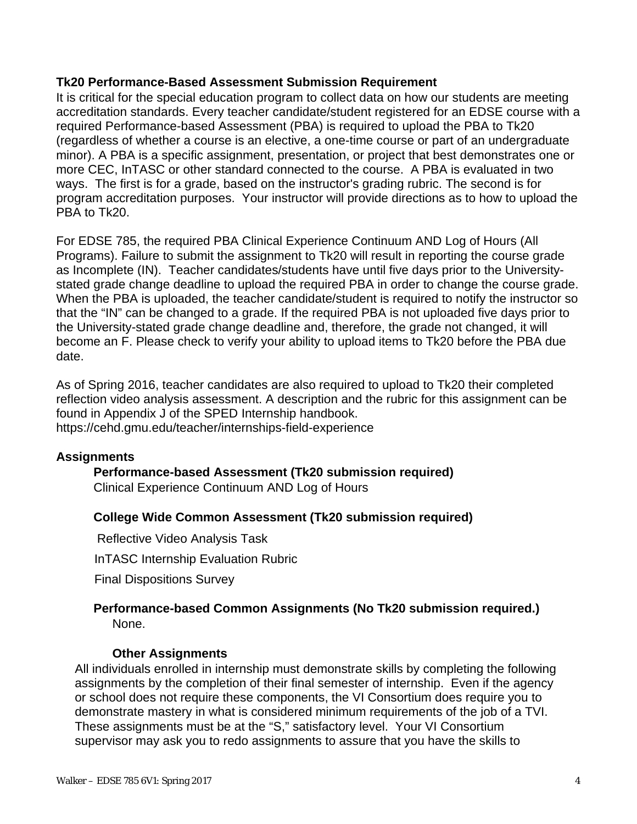#### **Tk20 Performance-Based Assessment Submission Requirement**

It is critical for the special education program to collect data on how our students are meeting accreditation standards. Every teacher candidate/student registered for an EDSE course with a required Performance-based Assessment (PBA) is required to upload the PBA to Tk20 (regardless of whether a course is an elective, a one-time course or part of an undergraduate minor). A PBA is a specific assignment, presentation, or project that best demonstrates one or more CEC, InTASC or other standard connected to the course. A PBA is evaluated in two ways. The first is for a grade, based on the instructor's grading rubric. The second is for program accreditation purposes. Your instructor will provide directions as to how to upload the PBA to Tk20.

For EDSE 785, the required PBA Clinical Experience Continuum AND Log of Hours (All Programs). Failure to submit the assignment to Tk20 will result in reporting the course grade as Incomplete (IN). Teacher candidates/students have until five days prior to the Universitystated grade change deadline to upload the required PBA in order to change the course grade. When the PBA is uploaded, the teacher candidate/student is required to notify the instructor so that the "IN" can be changed to a grade. If the required PBA is not uploaded five days prior to the University-stated grade change deadline and, therefore, the grade not changed, it will become an F. Please check to verify your ability to upload items to Tk20 before the PBA due date.

As of Spring 2016, teacher candidates are also required to upload to Tk20 their completed reflection video analysis assessment. A description and the rubric for this assignment can be found in Appendix J of the SPED Internship handbook.

## https://cehd.gmu.edu/teacher/internships-field-experience

#### **Assignments**

#### **Performance-based Assessment (Tk20 submission required)** Clinical Experience Continuum AND Log of Hours

#### **College Wide Common Assessment (Tk20 submission required)**

**Reflective Video Analysis Task** 

InTASC Internship Evaluation Rubric

Final Dispositions Survey

#### **Performance-based Common Assignments (No Tk20 submission required.)** None.

#### **Other Assignments**

All individuals enrolled in internship must demonstrate skills by completing the following assignments by the completion of their final semester of internship. Even if the agency or school does not require these components, the VI Consortium does require you to demonstrate mastery in what is considered minimum requirements of the job of a TVI. These assignments must be at the "S," satisfactory level. Your VI Consortium supervisor may ask you to redo assignments to assure that you have the skills to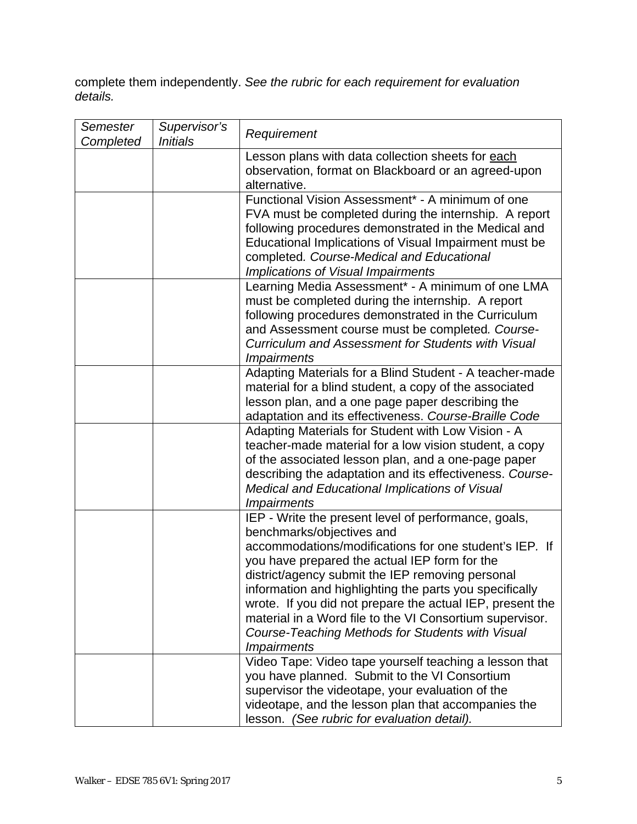complete them independently. *See the rubric for each requirement for evaluation details.* 

| Semester<br>Completed | Supervisor's<br><i><b>Initials</b></i> | Requirement                                                                                                                                                                                                                                                                                                                                                                                                                                                                                                    |
|-----------------------|----------------------------------------|----------------------------------------------------------------------------------------------------------------------------------------------------------------------------------------------------------------------------------------------------------------------------------------------------------------------------------------------------------------------------------------------------------------------------------------------------------------------------------------------------------------|
|                       |                                        | Lesson plans with data collection sheets for each<br>observation, format on Blackboard or an agreed-upon<br>alternative.                                                                                                                                                                                                                                                                                                                                                                                       |
|                       |                                        | Functional Vision Assessment* - A minimum of one<br>FVA must be completed during the internship. A report<br>following procedures demonstrated in the Medical and<br>Educational Implications of Visual Impairment must be<br>completed. Course-Medical and Educational<br>Implications of Visual Impairments                                                                                                                                                                                                  |
|                       |                                        | Learning Media Assessment* - A minimum of one LMA<br>must be completed during the internship. A report<br>following procedures demonstrated in the Curriculum<br>and Assessment course must be completed. Course-<br><b>Curriculum and Assessment for Students with Visual</b><br><i><b>Impairments</b></i>                                                                                                                                                                                                    |
|                       |                                        | Adapting Materials for a Blind Student - A teacher-made<br>material for a blind student, a copy of the associated<br>lesson plan, and a one page paper describing the<br>adaptation and its effectiveness. Course-Braille Code                                                                                                                                                                                                                                                                                 |
|                       |                                        | Adapting Materials for Student with Low Vision - A<br>teacher-made material for a low vision student, a copy<br>of the associated lesson plan, and a one-page paper<br>describing the adaptation and its effectiveness. Course-<br>Medical and Educational Implications of Visual<br><i><b>Impairments</b></i>                                                                                                                                                                                                 |
|                       |                                        | IEP - Write the present level of performance, goals,<br>benchmarks/objectives and<br>accommodations/modifications for one student's IEP. If<br>you have prepared the actual IEP form for the<br>district/agency submit the IEP removing personal<br>information and highlighting the parts you specifically<br>wrote. If you did not prepare the actual IEP, present the<br>material in a Word file to the VI Consortium supervisor.<br>Course-Teaching Methods for Students with Visual<br><i>Impairments</i> |
|                       |                                        | Video Tape: Video tape yourself teaching a lesson that<br>you have planned. Submit to the VI Consortium<br>supervisor the videotape, your evaluation of the<br>videotape, and the lesson plan that accompanies the<br>lesson. (See rubric for evaluation detail).                                                                                                                                                                                                                                              |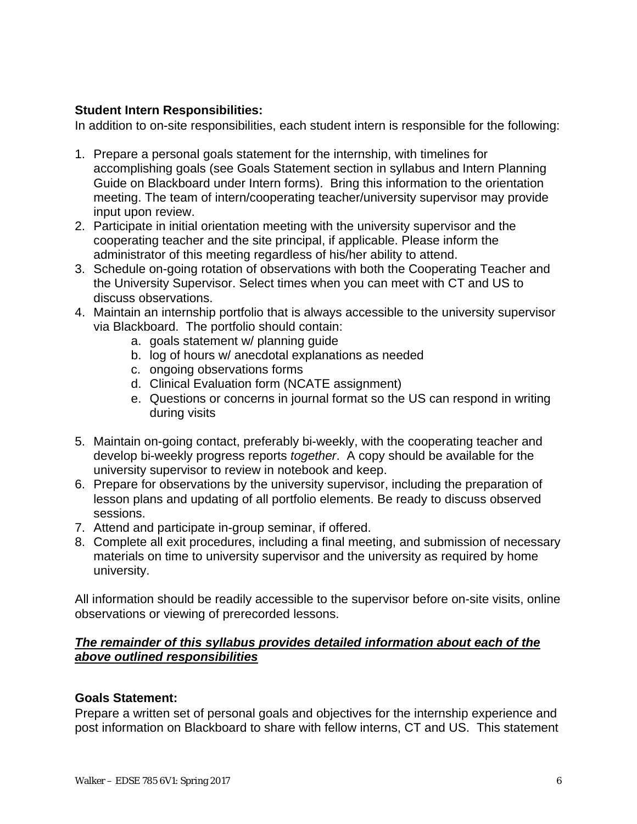### **Student Intern Responsibilities:**

In addition to on-site responsibilities, each student intern is responsible for the following:

- 1. Prepare a personal goals statement for the internship, with timelines for accomplishing goals (see Goals Statement section in syllabus and Intern Planning Guide on Blackboard under Intern forms). Bring this information to the orientation meeting. The team of intern/cooperating teacher/university supervisor may provide input upon review.
- 2. Participate in initial orientation meeting with the university supervisor and the cooperating teacher and the site principal, if applicable. Please inform the administrator of this meeting regardless of his/her ability to attend.
- 3. Schedule on-going rotation of observations with both the Cooperating Teacher and the University Supervisor. Select times when you can meet with CT and US to discuss observations.
- 4. Maintain an internship portfolio that is always accessible to the university supervisor via Blackboard. The portfolio should contain:
	- a. goals statement w/ planning guide
	- b. log of hours w/ anecdotal explanations as needed
	- c. ongoing observations forms
	- d. Clinical Evaluation form (NCATE assignment)
	- e. Questions or concerns in journal format so the US can respond in writing during visits
- 5. Maintain on-going contact, preferably bi-weekly, with the cooperating teacher and develop bi-weekly progress reports *together*. A copy should be available for the university supervisor to review in notebook and keep.
- 6. Prepare for observations by the university supervisor, including the preparation of lesson plans and updating of all portfolio elements. Be ready to discuss observed sessions.
- 7. Attend and participate in-group seminar, if offered.
- 8. Complete all exit procedures, including a final meeting, and submission of necessary materials on time to university supervisor and the university as required by home university.

All information should be readily accessible to the supervisor before on-site visits, online observations or viewing of prerecorded lessons.

## *The remainder of this syllabus provides detailed information about each of the above outlined responsibilities*

#### **Goals Statement:**

Prepare a written set of personal goals and objectives for the internship experience and post information on Blackboard to share with fellow interns, CT and US. This statement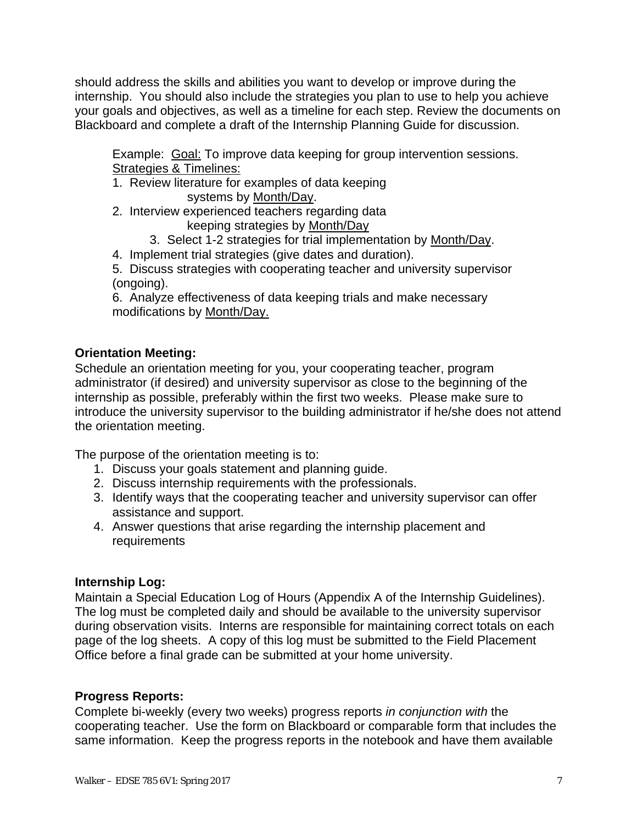should address the skills and abilities you want to develop or improve during the internship. You should also include the strategies you plan to use to help you achieve your goals and objectives, as well as a timeline for each step. Review the documents on Blackboard and complete a draft of the Internship Planning Guide for discussion.

Example: Goal: To improve data keeping for group intervention sessions. Strategies & Timelines:

- 1. Review literature for examples of data keeping systems by Month/Day.
- 2. Interview experienced teachers regarding data keeping strategies by Month/Day
	- 3. Select 1-2 strategies for trial implementation by Month/Day.
- 4. Implement trial strategies (give dates and duration).

5. Discuss strategies with cooperating teacher and university supervisor (ongoing).

6. Analyze effectiveness of data keeping trials and make necessary modifications by Month/Day.

## **Orientation Meeting:**

Schedule an orientation meeting for you, your cooperating teacher, program administrator (if desired) and university supervisor as close to the beginning of the internship as possible, preferably within the first two weeks. Please make sure to introduce the university supervisor to the building administrator if he/she does not attend the orientation meeting.

The purpose of the orientation meeting is to:

- 1. Discuss your goals statement and planning guide.
- 2. Discuss internship requirements with the professionals.
- 3. Identify ways that the cooperating teacher and university supervisor can offer assistance and support.
- 4. Answer questions that arise regarding the internship placement and requirements

## **Internship Log:**

Maintain a Special Education Log of Hours (Appendix A of the Internship Guidelines). The log must be completed daily and should be available to the university supervisor during observation visits. Interns are responsible for maintaining correct totals on each page of the log sheets. A copy of this log must be submitted to the Field Placement Office before a final grade can be submitted at your home university.

## **Progress Reports:**

Complete bi-weekly (every two weeks) progress reports *in conjunction with* the cooperating teacher. Use the form on Blackboard or comparable form that includes the same information. Keep the progress reports in the notebook and have them available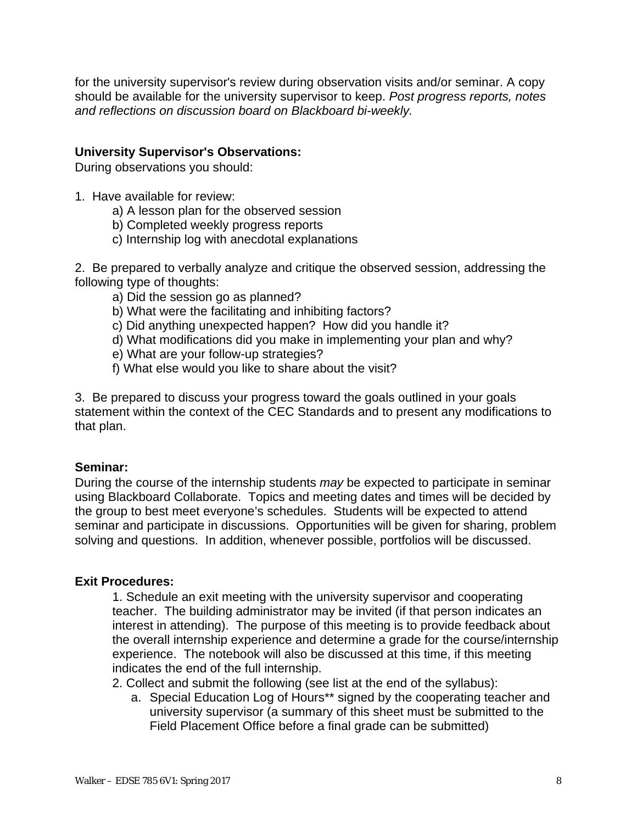for the university supervisor's review during observation visits and/or seminar. A copy should be available for the university supervisor to keep. *Post progress reports, notes and reflections on discussion board on Blackboard bi-weekly.* 

#### **University Supervisor's Observations:**

During observations you should:

- 1. Have available for review:
	- a) A lesson plan for the observed session
	- b) Completed weekly progress reports
	- c) Internship log with anecdotal explanations

2. Be prepared to verbally analyze and critique the observed session, addressing the following type of thoughts:

- a) Did the session go as planned?
- b) What were the facilitating and inhibiting factors?
- c) Did anything unexpected happen? How did you handle it?
- d) What modifications did you make in implementing your plan and why?
- e) What are your follow-up strategies?
- f) What else would you like to share about the visit?

3. Be prepared to discuss your progress toward the goals outlined in your goals statement within the context of the CEC Standards and to present any modifications to that plan.

#### **Seminar:**

During the course of the internship students *may* be expected to participate in seminar using Blackboard Collaborate. Topics and meeting dates and times will be decided by the group to best meet everyone's schedules. Students will be expected to attend seminar and participate in discussions. Opportunities will be given for sharing, problem solving and questions. In addition, whenever possible, portfolios will be discussed.

#### **Exit Procedures:**

1. Schedule an exit meeting with the university supervisor and cooperating teacher. The building administrator may be invited (if that person indicates an interest in attending). The purpose of this meeting is to provide feedback about the overall internship experience and determine a grade for the course/internship experience. The notebook will also be discussed at this time, if this meeting indicates the end of the full internship.

2. Collect and submit the following (see list at the end of the syllabus):

a. Special Education Log of Hours\*\* signed by the cooperating teacher and university supervisor (a summary of this sheet must be submitted to the Field Placement Office before a final grade can be submitted)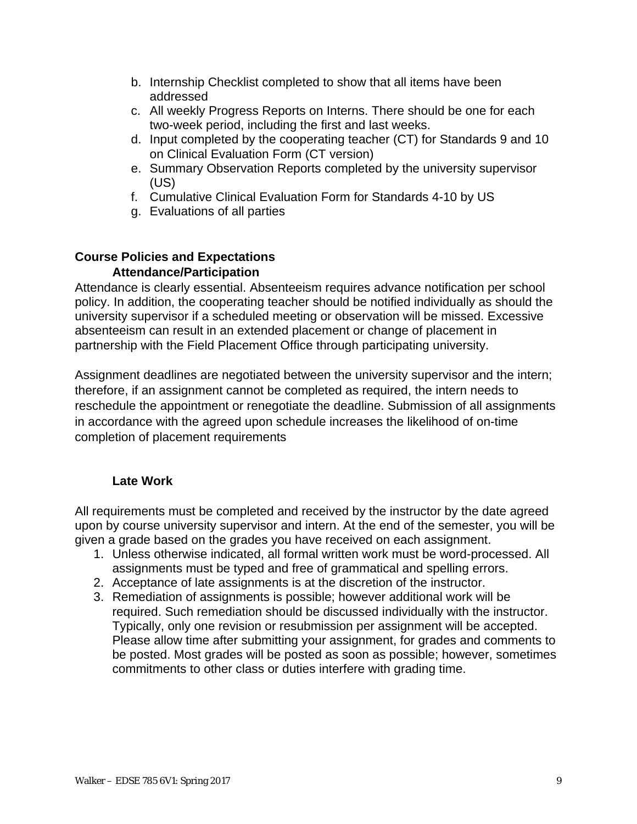- b. Internship Checklist completed to show that all items have been addressed
- c. All weekly Progress Reports on Interns. There should be one for each two-week period, including the first and last weeks.
- d. Input completed by the cooperating teacher (CT) for Standards 9 and 10 on Clinical Evaluation Form (CT version)
- e. Summary Observation Reports completed by the university supervisor (US)
- f. Cumulative Clinical Evaluation Form for Standards 4-10 by US
- g. Evaluations of all parties

#### **Course Policies and Expectations Attendance/Participation**

Attendance is clearly essential. Absenteeism requires advance notification per school policy. In addition, the cooperating teacher should be notified individually as should the university supervisor if a scheduled meeting or observation will be missed. Excessive absenteeism can result in an extended placement or change of placement in partnership with the Field Placement Office through participating university.

Assignment deadlines are negotiated between the university supervisor and the intern; therefore, if an assignment cannot be completed as required, the intern needs to reschedule the appointment or renegotiate the deadline. Submission of all assignments in accordance with the agreed upon schedule increases the likelihood of on-time completion of placement requirements

## **Late Work**

All requirements must be completed and received by the instructor by the date agreed upon by course university supervisor and intern. At the end of the semester, you will be given a grade based on the grades you have received on each assignment.

- 1. Unless otherwise indicated, all formal written work must be word-processed. All assignments must be typed and free of grammatical and spelling errors.
- 2. Acceptance of late assignments is at the discretion of the instructor.
- 3. Remediation of assignments is possible; however additional work will be required. Such remediation should be discussed individually with the instructor. Typically, only one revision or resubmission per assignment will be accepted. Please allow time after submitting your assignment, for grades and comments to be posted. Most grades will be posted as soon as possible; however, sometimes commitments to other class or duties interfere with grading time.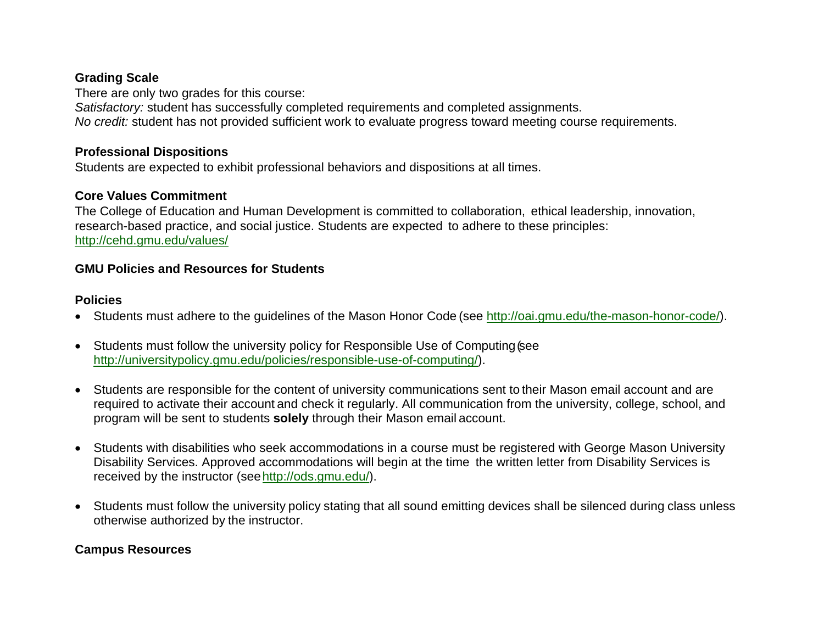## **Grading Scale**

There are only two grades for this course: *Satisfactory:* student has successfully completed requirements and completed assignments. *No credit:* student has not provided sufficient work to evaluate progress toward meeting course requirements.

### **Professional Dispositions**

Students are expected to exhibit professional behaviors and dispositions at all times.

## **Core Values Commitment**

The College of Education and Human Development is committed to collaboration, ethical leadership, innovation, research-based practice, and social justice. Students are expected to adhere to these principles: http://cehd.gmu.edu/values/

### **GMU Policies and Resources for Students**

### **Policies**

- Students must adhere to the guidelines of the Mason Honor Code (see http://oai.gmu.edu/the-mason-honor-code/).
- Students must follow the university policy for Responsible Use of Computing (see http://universitypolicy.gmu.edu/policies/responsible-use-of-computing/).
- Students are responsible for the content of university communications sent to their Mason email account and are required to activate their account and check it regularly. All communication from the university, college, school, and program will be sent to students **solely** through their Mason email account.
- Students with disabilities who seek accommodations in a course must be registered with George Mason University Disability Services. Approved accommodations will begin at the time the written letter from Disability Services is received by the instructor (see http://ods.gmu.edu/).
- Students must follow the university policy stating that all sound emitting devices shall be silenced during class unless otherwise authorized by the instructor.

## **Campus Resources**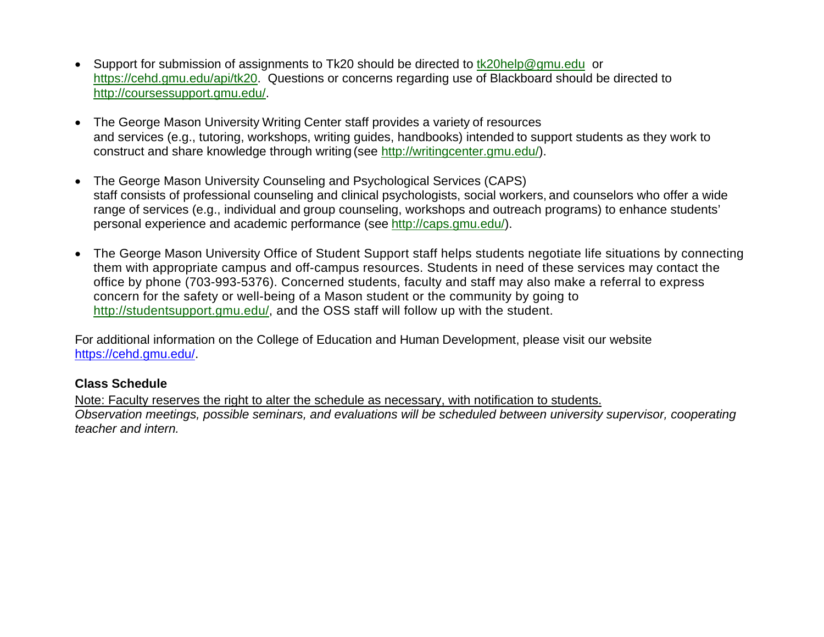- Support for submission of assignments to Tk20 should be directed to tk20help@gmu.edu or https://cehd.gmu.edu/api/tk20. Questions or concerns regarding use of Blackboard should be directed to http://coursessupport.gmu.edu/.
- The George Mason University Writing Center staff provides a variety of resources and services (e.g., tutoring, workshops, writing guides, handbooks) intended to support students as they work to construct and share knowledge through writing (see http://writingcenter.gmu.edu/).
- The George Mason University Counseling and Psychological Services (CAPS) staff consists of professional counseling and clinical psychologists, social workers, and counselors who offer a wide range of services (e.g., individual and group counseling, workshops and outreach programs) to enhance students' personal experience and academic performance (see http://caps.gmu.edu/).
- The George Mason University Office of Student Support staff helps students negotiate life situations by connecting them with appropriate campus and off-campus resources. Students in need of these services may contact the office by phone (703-993-5376). Concerned students, faculty and staff may also make a referral to express concern for the safety or well-being of a Mason student or the community by going to http://studentsupport.gmu.edu/, and the OSS staff will follow up with the student.

For additional information on the College of Education and Human Development, please visit our website https://cehd.gmu.edu/.

## **Class Schedule**

Note: Faculty reserves the right to alter the schedule as necessary, with notification to students.

*Observation meetings, possible seminars, and evaluations will be scheduled between university supervisor, cooperating teacher and intern.*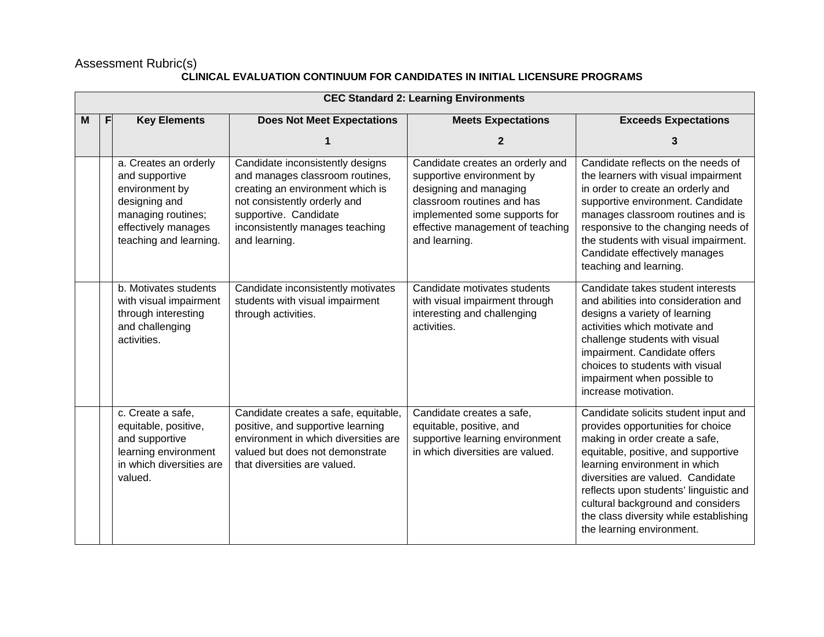#### Assessment Rubric(s)

#### **CLINICAL EVALUATION CONTINUUM FOR CANDIDATES IN INITIAL LICENSURE PROGRAMS**

|   | <b>CEC Standard 2: Learning Environments</b> |                                                                                                                                                   |                                                                                                                                                                                                                      |                                                                                                                                                                                                             |                                                                                                                                                                                                                                                                                                                                                                                |  |  |
|---|----------------------------------------------|---------------------------------------------------------------------------------------------------------------------------------------------------|----------------------------------------------------------------------------------------------------------------------------------------------------------------------------------------------------------------------|-------------------------------------------------------------------------------------------------------------------------------------------------------------------------------------------------------------|--------------------------------------------------------------------------------------------------------------------------------------------------------------------------------------------------------------------------------------------------------------------------------------------------------------------------------------------------------------------------------|--|--|
| м | <b>Key Elements</b><br>F                     |                                                                                                                                                   | <b>Does Not Meet Expectations</b>                                                                                                                                                                                    | <b>Meets Expectations</b>                                                                                                                                                                                   | <b>Exceeds Expectations</b>                                                                                                                                                                                                                                                                                                                                                    |  |  |
|   |                                              |                                                                                                                                                   |                                                                                                                                                                                                                      | $\mathbf{2}$                                                                                                                                                                                                | 3                                                                                                                                                                                                                                                                                                                                                                              |  |  |
|   |                                              | a. Creates an orderly<br>and supportive<br>environment by<br>designing and<br>managing routines;<br>effectively manages<br>teaching and learning. | Candidate inconsistently designs<br>and manages classroom routines,<br>creating an environment which is<br>not consistently orderly and<br>supportive. Candidate<br>inconsistently manages teaching<br>and learning. | Candidate creates an orderly and<br>supportive environment by<br>designing and managing<br>classroom routines and has<br>implemented some supports for<br>effective management of teaching<br>and learning. | Candidate reflects on the needs of<br>the learners with visual impairment<br>in order to create an orderly and<br>supportive environment. Candidate<br>manages classroom routines and is<br>responsive to the changing needs of<br>the students with visual impairment.<br>Candidate effectively manages<br>teaching and learning.                                             |  |  |
|   |                                              | b. Motivates students<br>with visual impairment<br>through interesting<br>and challenging<br>activities.                                          | Candidate inconsistently motivates<br>students with visual impairment<br>through activities.                                                                                                                         | Candidate motivates students<br>with visual impairment through<br>interesting and challenging<br>activities.                                                                                                | Candidate takes student interests<br>and abilities into consideration and<br>designs a variety of learning<br>activities which motivate and<br>challenge students with visual<br>impairment. Candidate offers<br>choices to students with visual<br>impairment when possible to<br>increase motivation.                                                                        |  |  |
|   |                                              | c. Create a safe,<br>equitable, positive,<br>and supportive<br>learning environment<br>in which diversities are<br>valued.                        | Candidate creates a safe, equitable,<br>positive, and supportive learning<br>environment in which diversities are<br>valued but does not demonstrate<br>that diversities are valued.                                 | Candidate creates a safe,<br>equitable, positive, and<br>supportive learning environment<br>in which diversities are valued.                                                                                | Candidate solicits student input and<br>provides opportunities for choice<br>making in order create a safe,<br>equitable, positive, and supportive<br>learning environment in which<br>diversities are valued. Candidate<br>reflects upon students' linguistic and<br>cultural background and considers<br>the class diversity while establishing<br>the learning environment. |  |  |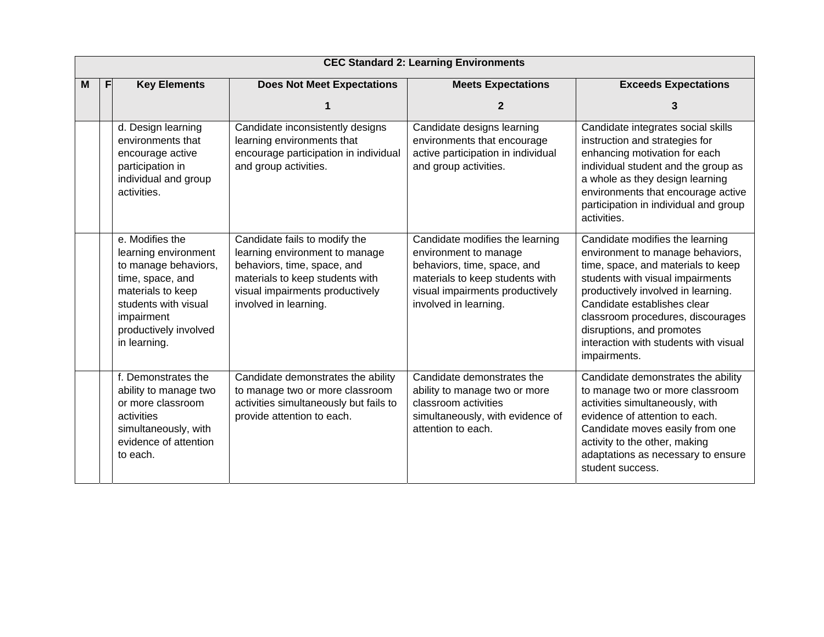|   | <b>CEC Standard 2: Learning Environments</b> |                                                                                                                                                                                         |                                                                                                                                                                                               |                                                                                                                                                                                        |                                                                                                                                                                                                                                                                                                                                               |  |  |
|---|----------------------------------------------|-----------------------------------------------------------------------------------------------------------------------------------------------------------------------------------------|-----------------------------------------------------------------------------------------------------------------------------------------------------------------------------------------------|----------------------------------------------------------------------------------------------------------------------------------------------------------------------------------------|-----------------------------------------------------------------------------------------------------------------------------------------------------------------------------------------------------------------------------------------------------------------------------------------------------------------------------------------------|--|--|
| M | F                                            | <b>Key Elements</b>                                                                                                                                                                     | <b>Does Not Meet Expectations</b>                                                                                                                                                             | <b>Meets Expectations</b>                                                                                                                                                              | <b>Exceeds Expectations</b>                                                                                                                                                                                                                                                                                                                   |  |  |
|   |                                              |                                                                                                                                                                                         |                                                                                                                                                                                               | $\mathbf{2}$                                                                                                                                                                           | 3                                                                                                                                                                                                                                                                                                                                             |  |  |
|   |                                              | d. Design learning<br>environments that<br>encourage active<br>participation in<br>individual and group<br>activities.                                                                  | Candidate inconsistently designs<br>learning environments that<br>encourage participation in individual<br>and group activities.                                                              | Candidate designs learning<br>environments that encourage<br>active participation in individual<br>and group activities.                                                               | Candidate integrates social skills<br>instruction and strategies for<br>enhancing motivation for each<br>individual student and the group as<br>a whole as they design learning<br>environments that encourage active<br>participation in individual and group<br>activities.                                                                 |  |  |
|   |                                              | e. Modifies the<br>learning environment<br>to manage behaviors,<br>time, space, and<br>materials to keep<br>students with visual<br>impairment<br>productively involved<br>in learning. | Candidate fails to modify the<br>learning environment to manage<br>behaviors, time, space, and<br>materials to keep students with<br>visual impairments productively<br>involved in learning. | Candidate modifies the learning<br>environment to manage<br>behaviors, time, space, and<br>materials to keep students with<br>visual impairments productively<br>involved in learning. | Candidate modifies the learning<br>environment to manage behaviors,<br>time, space, and materials to keep<br>students with visual impairments<br>productively involved in learning.<br>Candidate establishes clear<br>classroom procedures, discourages<br>disruptions, and promotes<br>interaction with students with visual<br>impairments. |  |  |
|   |                                              | f. Demonstrates the<br>ability to manage two<br>or more classroom<br>activities<br>simultaneously, with<br>evidence of attention<br>to each.                                            | Candidate demonstrates the ability<br>to manage two or more classroom<br>activities simultaneously but fails to<br>provide attention to each.                                                 | Candidate demonstrates the<br>ability to manage two or more<br>classroom activities<br>simultaneously, with evidence of<br>attention to each.                                          | Candidate demonstrates the ability<br>to manage two or more classroom<br>activities simultaneously, with<br>evidence of attention to each.<br>Candidate moves easily from one<br>activity to the other, making<br>adaptations as necessary to ensure<br>student success.                                                                      |  |  |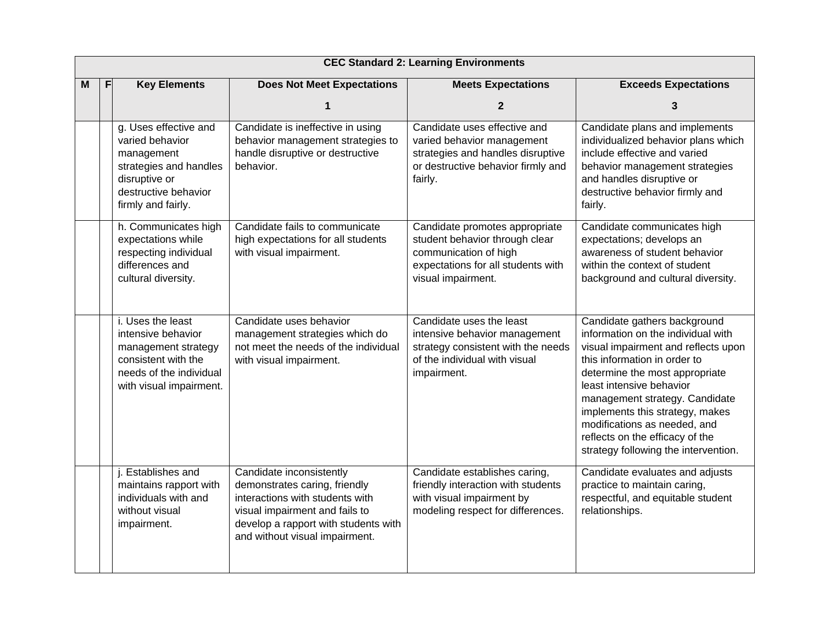| M | <b>Key Elements</b><br>F |                                                                                                                                                 | <b>Does Not Meet Expectations</b>                                                                                                                                                                        | <b>Meets Expectations</b>                                                                                                                             | <b>Exceeds Expectations</b>                                                                                                                                                                                                                                                                                                                                                             |
|---|--------------------------|-------------------------------------------------------------------------------------------------------------------------------------------------|----------------------------------------------------------------------------------------------------------------------------------------------------------------------------------------------------------|-------------------------------------------------------------------------------------------------------------------------------------------------------|-----------------------------------------------------------------------------------------------------------------------------------------------------------------------------------------------------------------------------------------------------------------------------------------------------------------------------------------------------------------------------------------|
|   |                          |                                                                                                                                                 |                                                                                                                                                                                                          | 2                                                                                                                                                     | 3                                                                                                                                                                                                                                                                                                                                                                                       |
|   |                          | g. Uses effective and<br>varied behavior<br>management<br>strategies and handles<br>disruptive or<br>destructive behavior<br>firmly and fairly. | Candidate is ineffective in using<br>behavior management strategies to<br>handle disruptive or destructive<br>behavior.                                                                                  | Candidate uses effective and<br>varied behavior management<br>strategies and handles disruptive<br>or destructive behavior firmly and<br>fairly.      | Candidate plans and implements<br>individualized behavior plans which<br>include effective and varied<br>behavior management strategies<br>and handles disruptive or<br>destructive behavior firmly and<br>fairly.                                                                                                                                                                      |
|   |                          | h. Communicates high<br>expectations while<br>respecting individual<br>differences and<br>cultural diversity.                                   | Candidate fails to communicate<br>high expectations for all students<br>with visual impairment.                                                                                                          | Candidate promotes appropriate<br>student behavior through clear<br>communication of high<br>expectations for all students with<br>visual impairment. | Candidate communicates high<br>expectations; develops an<br>awareness of student behavior<br>within the context of student<br>background and cultural diversity.                                                                                                                                                                                                                        |
|   |                          | i. Uses the least<br>intensive behavior<br>management strategy<br>consistent with the<br>needs of the individual<br>with visual impairment.     | Candidate uses behavior<br>management strategies which do<br>not meet the needs of the individual<br>with visual impairment.                                                                             | Candidate uses the least<br>intensive behavior management<br>strategy consistent with the needs<br>of the individual with visual<br>impairment.       | Candidate gathers background<br>information on the individual with<br>visual impairment and reflects upon<br>this information in order to<br>determine the most appropriate<br>least intensive behavior<br>management strategy. Candidate<br>implements this strategy, makes<br>modifications as needed, and<br>reflects on the efficacy of the<br>strategy following the intervention. |
|   |                          | j. Establishes and<br>maintains rapport with<br>individuals with and<br>without visual<br>impairment.                                           | Candidate inconsistently<br>demonstrates caring, friendly<br>interactions with students with<br>visual impairment and fails to<br>develop a rapport with students with<br>and without visual impairment. | Candidate establishes caring,<br>friendly interaction with students<br>with visual impairment by<br>modeling respect for differences.                 | Candidate evaluates and adjusts<br>practice to maintain caring,<br>respectful, and equitable student<br>relationships.                                                                                                                                                                                                                                                                  |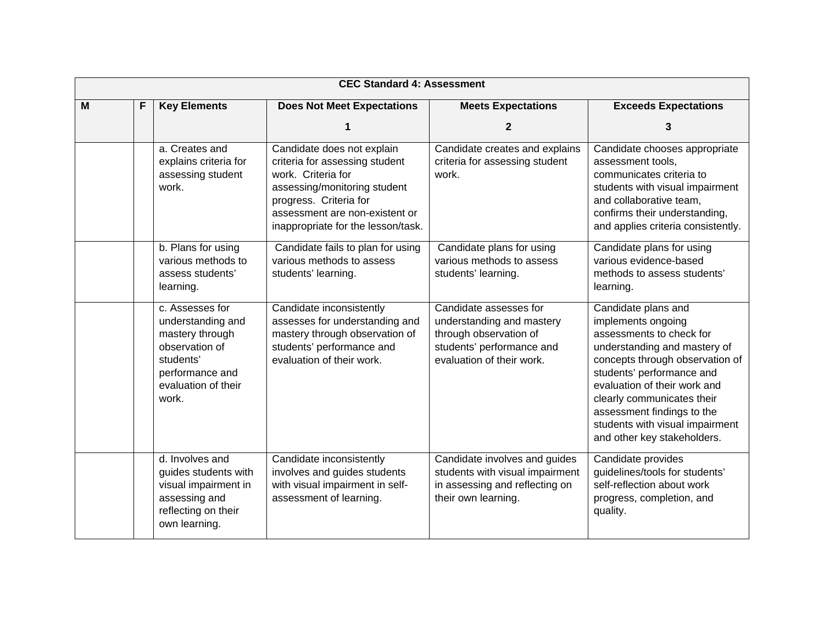|   | <b>CEC Standard 4: Assessment</b> |                                                                                                                                           |                                                                                                                                                                                                                      |                                                                                                                                         |                                                                                                                                                                                                                                                                                                                                     |
|---|-----------------------------------|-------------------------------------------------------------------------------------------------------------------------------------------|----------------------------------------------------------------------------------------------------------------------------------------------------------------------------------------------------------------------|-----------------------------------------------------------------------------------------------------------------------------------------|-------------------------------------------------------------------------------------------------------------------------------------------------------------------------------------------------------------------------------------------------------------------------------------------------------------------------------------|
| M | F                                 | <b>Key Elements</b>                                                                                                                       | <b>Does Not Meet Expectations</b>                                                                                                                                                                                    | <b>Meets Expectations</b>                                                                                                               | <b>Exceeds Expectations</b>                                                                                                                                                                                                                                                                                                         |
|   |                                   |                                                                                                                                           | 1                                                                                                                                                                                                                    | $\mathbf{2}$                                                                                                                            | 3                                                                                                                                                                                                                                                                                                                                   |
|   |                                   | a. Creates and<br>explains criteria for<br>assessing student<br>work.                                                                     | Candidate does not explain<br>criteria for assessing student<br>work. Criteria for<br>assessing/monitoring student<br>progress. Criteria for<br>assessment are non-existent or<br>inappropriate for the lesson/task. | Candidate creates and explains<br>criteria for assessing student<br>work.                                                               | Candidate chooses appropriate<br>assessment tools,<br>communicates criteria to<br>students with visual impairment<br>and collaborative team,<br>confirms their understanding,<br>and applies criteria consistently.                                                                                                                 |
|   |                                   | b. Plans for using<br>various methods to<br>assess students'<br>learning.                                                                 | Candidate fails to plan for using<br>various methods to assess<br>students' learning.                                                                                                                                | Candidate plans for using<br>various methods to assess<br>students' learning.                                                           | Candidate plans for using<br>various evidence-based<br>methods to assess students'<br>learning.                                                                                                                                                                                                                                     |
|   |                                   | c. Assesses for<br>understanding and<br>mastery through<br>observation of<br>students'<br>performance and<br>evaluation of their<br>work. | Candidate inconsistently<br>assesses for understanding and<br>mastery through observation of<br>students' performance and<br>evaluation of their work.                                                               | Candidate assesses for<br>understanding and mastery<br>through observation of<br>students' performance and<br>evaluation of their work. | Candidate plans and<br>implements ongoing<br>assessments to check for<br>understanding and mastery of<br>concepts through observation of<br>students' performance and<br>evaluation of their work and<br>clearly communicates their<br>assessment findings to the<br>students with visual impairment<br>and other key stakeholders. |
|   |                                   | d. Involves and<br>guides students with<br>visual impairment in<br>assessing and<br>reflecting on their<br>own learning.                  | Candidate inconsistently<br>involves and guides students<br>with visual impairment in self-<br>assessment of learning.                                                                                               | Candidate involves and guides<br>students with visual impairment<br>in assessing and reflecting on<br>their own learning.               | Candidate provides<br>guidelines/tools for students'<br>self-reflection about work<br>progress, completion, and<br>quality.                                                                                                                                                                                                         |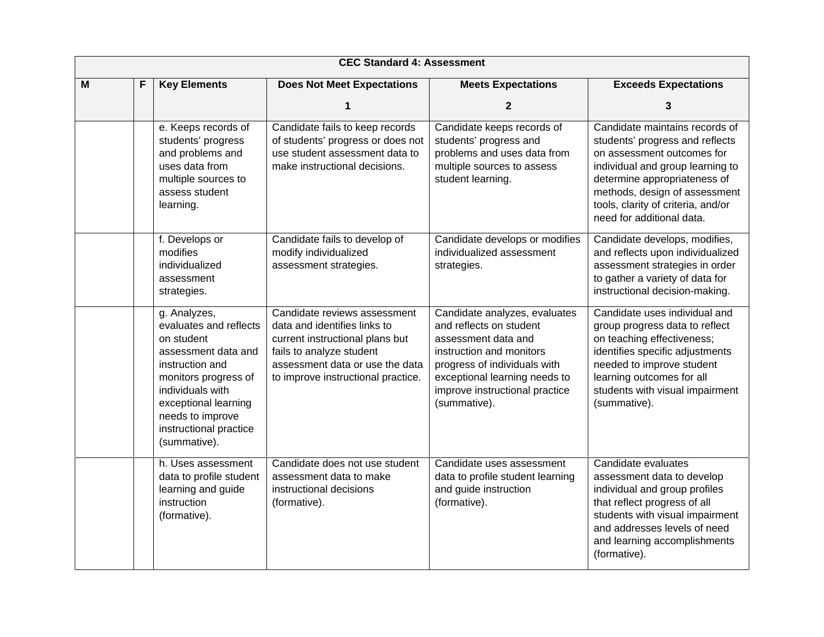|   |   |                                                                                                                                                                                                                                  | <b>CEC Standard 4: Assessment</b>                                                                                                                                                                    |                                                                                                                                                                                                                                |                                                                                                                                                                                                                                                                         |
|---|---|----------------------------------------------------------------------------------------------------------------------------------------------------------------------------------------------------------------------------------|------------------------------------------------------------------------------------------------------------------------------------------------------------------------------------------------------|--------------------------------------------------------------------------------------------------------------------------------------------------------------------------------------------------------------------------------|-------------------------------------------------------------------------------------------------------------------------------------------------------------------------------------------------------------------------------------------------------------------------|
| M | F | <b>Key Elements</b>                                                                                                                                                                                                              | <b>Does Not Meet Expectations</b>                                                                                                                                                                    | <b>Meets Expectations</b>                                                                                                                                                                                                      | <b>Exceeds Expectations</b>                                                                                                                                                                                                                                             |
|   |   |                                                                                                                                                                                                                                  |                                                                                                                                                                                                      | $\mathbf 2$                                                                                                                                                                                                                    | 3                                                                                                                                                                                                                                                                       |
|   |   | e. Keeps records of<br>students' progress<br>and problems and<br>uses data from<br>multiple sources to<br>assess student<br>learning.                                                                                            | Candidate fails to keep records<br>of students' progress or does not<br>use student assessment data to<br>make instructional decisions.                                                              | Candidate keeps records of<br>students' progress and<br>problems and uses data from<br>multiple sources to assess<br>student learning.                                                                                         | Candidate maintains records of<br>students' progress and reflects<br>on assessment outcomes for<br>individual and group learning to<br>determine appropriateness of<br>methods, design of assessment<br>tools, clarity of criteria, and/or<br>need for additional data. |
|   |   | f. Develops or<br>modifies<br>individualized<br>assessment<br>strategies.                                                                                                                                                        | Candidate fails to develop of<br>modify individualized<br>assessment strategies.                                                                                                                     | Candidate develops or modifies<br>individualized assessment<br>strategies.                                                                                                                                                     | Candidate develops, modifies,<br>and reflects upon individualized<br>assessment strategies in order<br>to gather a variety of data for<br>instructional decision-making.                                                                                                |
|   |   | g. Analyzes,<br>evaluates and reflects<br>on student<br>assessment data and<br>instruction and<br>monitors progress of<br>individuals with<br>exceptional learning<br>needs to improve<br>instructional practice<br>(summative). | Candidate reviews assessment<br>data and identifies links to<br>current instructional plans but<br>fails to analyze student<br>assessment data or use the data<br>to improve instructional practice. | Candidate analyzes, evaluates<br>and reflects on student<br>assessment data and<br>instruction and monitors<br>progress of individuals with<br>exceptional learning needs to<br>improve instructional practice<br>(summative). | Candidate uses individual and<br>group progress data to reflect<br>on teaching effectiveness;<br>identifies specific adjustments<br>needed to improve student<br>learning outcomes for all<br>students with visual impairment<br>(summative).                           |
|   |   | h. Uses assessment<br>data to profile student<br>learning and guide<br>instruction<br>(formative).                                                                                                                               | Candidate does not use student<br>assessment data to make<br>instructional decisions<br>(formative).                                                                                                 | Candidate uses assessment<br>data to profile student learning<br>and guide instruction<br>(formative).                                                                                                                         | Candidate evaluates<br>assessment data to develop<br>individual and group profiles<br>that reflect progress of all<br>students with visual impairment<br>and addresses levels of need<br>and learning accomplishments<br>(formative).                                   |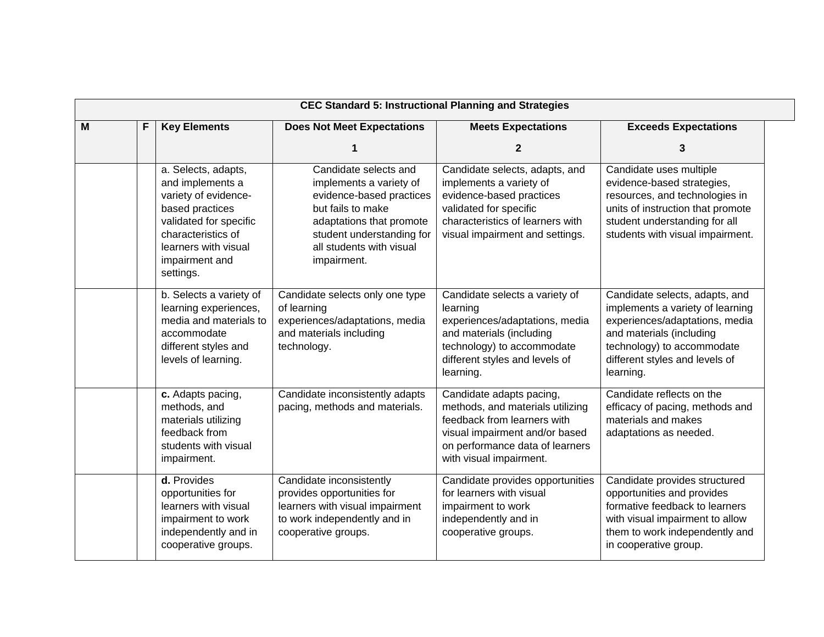|   | <b>CEC Standard 5: Instructional Planning and Strategies</b> |                                                                                                                                                                                           |                                                                                                                                                                                                       |                                                                                                                                                                                             |                                                                                                                                                                                                               |  |
|---|--------------------------------------------------------------|-------------------------------------------------------------------------------------------------------------------------------------------------------------------------------------------|-------------------------------------------------------------------------------------------------------------------------------------------------------------------------------------------------------|---------------------------------------------------------------------------------------------------------------------------------------------------------------------------------------------|---------------------------------------------------------------------------------------------------------------------------------------------------------------------------------------------------------------|--|
| M | F                                                            | <b>Key Elements</b>                                                                                                                                                                       | <b>Does Not Meet Expectations</b>                                                                                                                                                                     | <b>Meets Expectations</b>                                                                                                                                                                   | <b>Exceeds Expectations</b>                                                                                                                                                                                   |  |
|   |                                                              |                                                                                                                                                                                           |                                                                                                                                                                                                       | $\mathbf{2}$                                                                                                                                                                                | 3                                                                                                                                                                                                             |  |
|   |                                                              | a. Selects, adapts,<br>and implements a<br>variety of evidence-<br>based practices<br>validated for specific<br>characteristics of<br>learners with visual<br>impairment and<br>settings. | Candidate selects and<br>implements a variety of<br>evidence-based practices<br>but fails to make<br>adaptations that promote<br>student understanding for<br>all students with visual<br>impairment. | Candidate selects, adapts, and<br>implements a variety of<br>evidence-based practices<br>validated for specific<br>characteristics of learners with<br>visual impairment and settings.      | Candidate uses multiple<br>evidence-based strategies,<br>resources, and technologies in<br>units of instruction that promote<br>student understanding for all<br>students with visual impairment.             |  |
|   |                                                              | b. Selects a variety of<br>learning experiences,<br>media and materials to<br>accommodate<br>different styles and<br>levels of learning.                                                  | Candidate selects only one type<br>of learning<br>experiences/adaptations, media<br>and materials including<br>technology.                                                                            | Candidate selects a variety of<br>learning<br>experiences/adaptations, media<br>and materials (including<br>technology) to accommodate<br>different styles and levels of<br>learning.       | Candidate selects, adapts, and<br>implements a variety of learning<br>experiences/adaptations, media<br>and materials (including<br>technology) to accommodate<br>different styles and levels of<br>learning. |  |
|   |                                                              | c. Adapts pacing,<br>methods, and<br>materials utilizing<br>feedback from<br>students with visual<br>impairment.                                                                          | Candidate inconsistently adapts<br>pacing, methods and materials.                                                                                                                                     | Candidate adapts pacing,<br>methods, and materials utilizing<br>feedback from learners with<br>visual impairment and/or based<br>on performance data of learners<br>with visual impairment. | Candidate reflects on the<br>efficacy of pacing, methods and<br>materials and makes<br>adaptations as needed.                                                                                                 |  |
|   |                                                              | d. Provides<br>opportunities for<br>learners with visual<br>impairment to work<br>independently and in<br>cooperative groups.                                                             | Candidate inconsistently<br>provides opportunities for<br>learners with visual impairment<br>to work independently and in<br>cooperative groups.                                                      | Candidate provides opportunities<br>for learners with visual<br>impairment to work<br>independently and in<br>cooperative groups.                                                           | Candidate provides structured<br>opportunities and provides<br>formative feedback to learners<br>with visual impairment to allow<br>them to work independently and<br>in cooperative group.                   |  |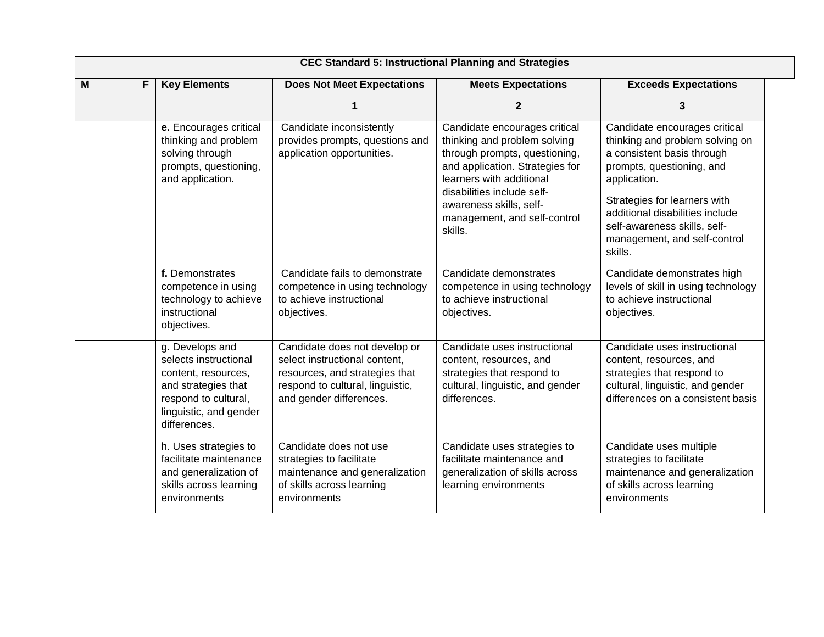|   | <b>CEC Standard 5: Instructional Planning and Strategies</b> |                                                                                                                                                          |                                                                                                                                                                 |                                                                                                                                                                                                                                                                   |                                                                                                                                                                                                                                                                                           |
|---|--------------------------------------------------------------|----------------------------------------------------------------------------------------------------------------------------------------------------------|-----------------------------------------------------------------------------------------------------------------------------------------------------------------|-------------------------------------------------------------------------------------------------------------------------------------------------------------------------------------------------------------------------------------------------------------------|-------------------------------------------------------------------------------------------------------------------------------------------------------------------------------------------------------------------------------------------------------------------------------------------|
| M | F                                                            | <b>Key Elements</b>                                                                                                                                      | <b>Does Not Meet Expectations</b>                                                                                                                               | <b>Meets Expectations</b>                                                                                                                                                                                                                                         | <b>Exceeds Expectations</b>                                                                                                                                                                                                                                                               |
|   |                                                              |                                                                                                                                                          |                                                                                                                                                                 | $\mathbf{2}$                                                                                                                                                                                                                                                      | 3                                                                                                                                                                                                                                                                                         |
|   |                                                              | e. Encourages critical<br>thinking and problem<br>solving through<br>prompts, questioning,<br>and application.                                           | Candidate inconsistently<br>provides prompts, questions and<br>application opportunities.                                                                       | Candidate encourages critical<br>thinking and problem solving<br>through prompts, questioning,<br>and application. Strategies for<br>learners with additional<br>disabilities include self-<br>awareness skills, self-<br>management, and self-control<br>skills. | Candidate encourages critical<br>thinking and problem solving on<br>a consistent basis through<br>prompts, questioning, and<br>application.<br>Strategies for learners with<br>additional disabilities include<br>self-awareness skills, self-<br>management, and self-control<br>skills. |
|   |                                                              | f. Demonstrates<br>competence in using<br>technology to achieve<br>instructional<br>objectives.                                                          | Candidate fails to demonstrate<br>competence in using technology<br>to achieve instructional<br>objectives.                                                     | Candidate demonstrates<br>competence in using technology<br>to achieve instructional<br>objectives.                                                                                                                                                               | Candidate demonstrates high<br>levels of skill in using technology<br>to achieve instructional<br>objectives.                                                                                                                                                                             |
|   |                                                              | g. Develops and<br>selects instructional<br>content, resources,<br>and strategies that<br>respond to cultural,<br>linguistic, and gender<br>differences. | Candidate does not develop or<br>select instructional content,<br>resources, and strategies that<br>respond to cultural, linguistic,<br>and gender differences. | Candidate uses instructional<br>content, resources, and<br>strategies that respond to<br>cultural, linguistic, and gender<br>differences.                                                                                                                         | Candidate uses instructional<br>content, resources, and<br>strategies that respond to<br>cultural, linguistic, and gender<br>differences on a consistent basis                                                                                                                            |
|   |                                                              | h. Uses strategies to<br>facilitate maintenance<br>and generalization of<br>skills across learning<br>environments                                       | Candidate does not use<br>strategies to facilitate<br>maintenance and generalization<br>of skills across learning<br>environments                               | Candidate uses strategies to<br>facilitate maintenance and<br>generalization of skills across<br>learning environments                                                                                                                                            | Candidate uses multiple<br>strategies to facilitate<br>maintenance and generalization<br>of skills across learning<br>environments                                                                                                                                                        |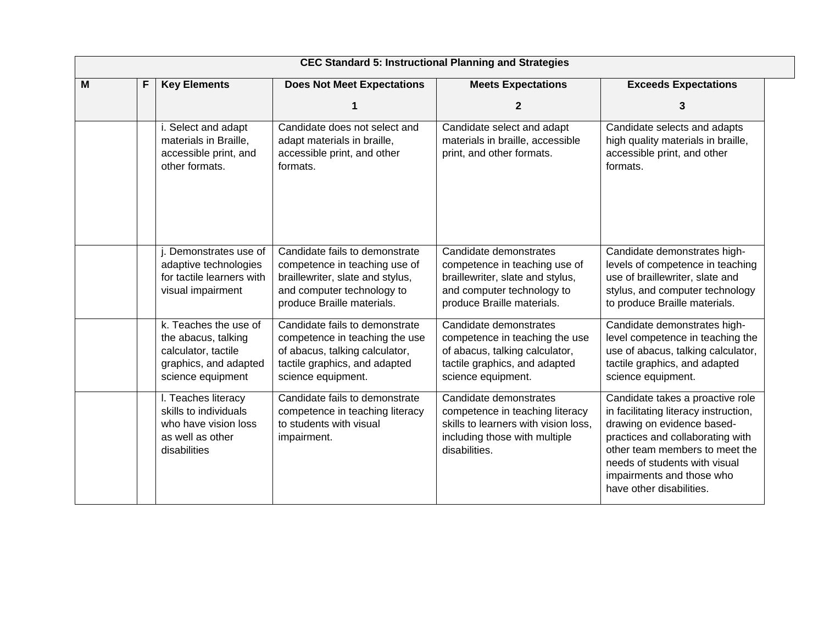|   |   |                                                                                                                   |                                                                                                                                                                 | <b>CEC Standard 5: Instructional Planning and Strategies</b>                                                                                            |                                                                                                                                                                                                                                                                         |
|---|---|-------------------------------------------------------------------------------------------------------------------|-----------------------------------------------------------------------------------------------------------------------------------------------------------------|---------------------------------------------------------------------------------------------------------------------------------------------------------|-------------------------------------------------------------------------------------------------------------------------------------------------------------------------------------------------------------------------------------------------------------------------|
| M | F | <b>Key Elements</b>                                                                                               | <b>Does Not Meet Expectations</b>                                                                                                                               | <b>Meets Expectations</b>                                                                                                                               | <b>Exceeds Expectations</b>                                                                                                                                                                                                                                             |
|   |   |                                                                                                                   |                                                                                                                                                                 | $\mathbf{2}$                                                                                                                                            | 3                                                                                                                                                                                                                                                                       |
|   |   | i. Select and adapt<br>materials in Braille,<br>accessible print, and<br>other formats.                           | Candidate does not select and<br>adapt materials in braille,<br>accessible print, and other<br>formats.                                                         | Candidate select and adapt<br>materials in braille, accessible<br>print, and other formats.                                                             | Candidate selects and adapts<br>high quality materials in braille,<br>accessible print, and other<br>formats.                                                                                                                                                           |
|   |   | Demonstrates use of<br>adaptive technologies<br>for tactile learners with<br>visual impairment                    | Candidate fails to demonstrate<br>competence in teaching use of<br>braillewriter, slate and stylus,<br>and computer technology to<br>produce Braille materials. | Candidate demonstrates<br>competence in teaching use of<br>braillewriter, slate and stylus,<br>and computer technology to<br>produce Braille materials. | Candidate demonstrates high-<br>levels of competence in teaching<br>use of braillewriter, slate and<br>stylus, and computer technology<br>to produce Braille materials.                                                                                                 |
|   |   | k. Teaches the use of<br>the abacus, talking<br>calculator, tactile<br>graphics, and adapted<br>science equipment | Candidate fails to demonstrate<br>competence in teaching the use<br>of abacus, talking calculator,<br>tactile graphics, and adapted<br>science equipment.       | Candidate demonstrates<br>competence in teaching the use<br>of abacus, talking calculator,<br>tactile graphics, and adapted<br>science equipment.       | Candidate demonstrates high-<br>level competence in teaching the<br>use of abacus, talking calculator,<br>tactile graphics, and adapted<br>science equipment.                                                                                                           |
|   |   | I. Teaches literacy<br>skills to individuals<br>who have vision loss<br>as well as other<br>disabilities          | Candidate fails to demonstrate<br>competence in teaching literacy<br>to students with visual<br>impairment.                                                     | Candidate demonstrates<br>competence in teaching literacy<br>skills to learners with vision loss.<br>including those with multiple<br>disabilities.     | Candidate takes a proactive role<br>in facilitating literacy instruction,<br>drawing on evidence based-<br>practices and collaborating with<br>other team members to meet the<br>needs of students with visual<br>impairments and those who<br>have other disabilities. |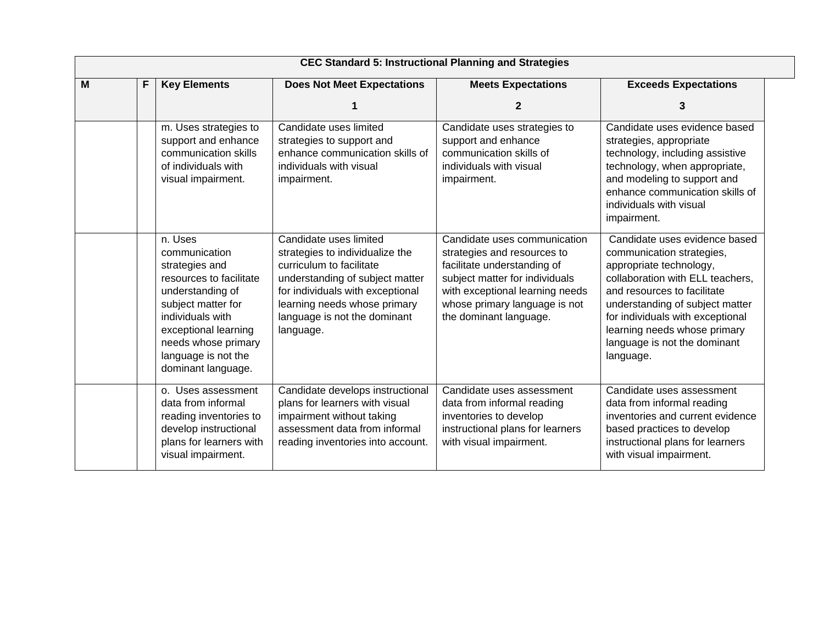|   |   |                                                                                                                                                                                                                                 | <b>CEC Standard 5: Instructional Planning and Strategies</b>                                                                                                                                                                              |                                                                                                                                                                                                                            |                                                                                                                                                                                                                                                                                                              |
|---|---|---------------------------------------------------------------------------------------------------------------------------------------------------------------------------------------------------------------------------------|-------------------------------------------------------------------------------------------------------------------------------------------------------------------------------------------------------------------------------------------|----------------------------------------------------------------------------------------------------------------------------------------------------------------------------------------------------------------------------|--------------------------------------------------------------------------------------------------------------------------------------------------------------------------------------------------------------------------------------------------------------------------------------------------------------|
| M | F | <b>Key Elements</b>                                                                                                                                                                                                             | <b>Does Not Meet Expectations</b>                                                                                                                                                                                                         | <b>Meets Expectations</b>                                                                                                                                                                                                  | <b>Exceeds Expectations</b>                                                                                                                                                                                                                                                                                  |
|   |   |                                                                                                                                                                                                                                 |                                                                                                                                                                                                                                           | 2                                                                                                                                                                                                                          | 3                                                                                                                                                                                                                                                                                                            |
|   |   | m. Uses strategies to<br>support and enhance<br>communication skills<br>of individuals with<br>visual impairment.                                                                                                               | Candidate uses limited<br>strategies to support and<br>enhance communication skills of<br>individuals with visual<br>impairment.                                                                                                          | Candidate uses strategies to<br>support and enhance<br>communication skills of<br>individuals with visual<br>impairment.                                                                                                   | Candidate uses evidence based<br>strategies, appropriate<br>technology, including assistive<br>technology, when appropriate,<br>and modeling to support and<br>enhance communication skills of<br>individuals with visual<br>impairment.                                                                     |
|   |   | n. Uses<br>communication<br>strategies and<br>resources to facilitate<br>understanding of<br>subject matter for<br>individuals with<br>exceptional learning<br>needs whose primary<br>language is not the<br>dominant language. | Candidate uses limited<br>strategies to individualize the<br>curriculum to facilitate<br>understanding of subject matter<br>for individuals with exceptional<br>learning needs whose primary<br>language is not the dominant<br>language. | Candidate uses communication<br>strategies and resources to<br>facilitate understanding of<br>subject matter for individuals<br>with exceptional learning needs<br>whose primary language is not<br>the dominant language. | Candidate uses evidence based<br>communication strategies,<br>appropriate technology,<br>collaboration with ELL teachers,<br>and resources to facilitate<br>understanding of subject matter<br>for individuals with exceptional<br>learning needs whose primary<br>language is not the dominant<br>language. |
|   |   | o. Uses assessment<br>data from informal<br>reading inventories to<br>develop instructional<br>plans for learners with<br>visual impairment.                                                                                    | Candidate develops instructional<br>plans for learners with visual<br>impairment without taking<br>assessment data from informal<br>reading inventories into account.                                                                     | Candidate uses assessment<br>data from informal reading<br>inventories to develop<br>instructional plans for learners<br>with visual impairment.                                                                           | Candidate uses assessment<br>data from informal reading<br>inventories and current evidence<br>based practices to develop<br>instructional plans for learners<br>with visual impairment.                                                                                                                     |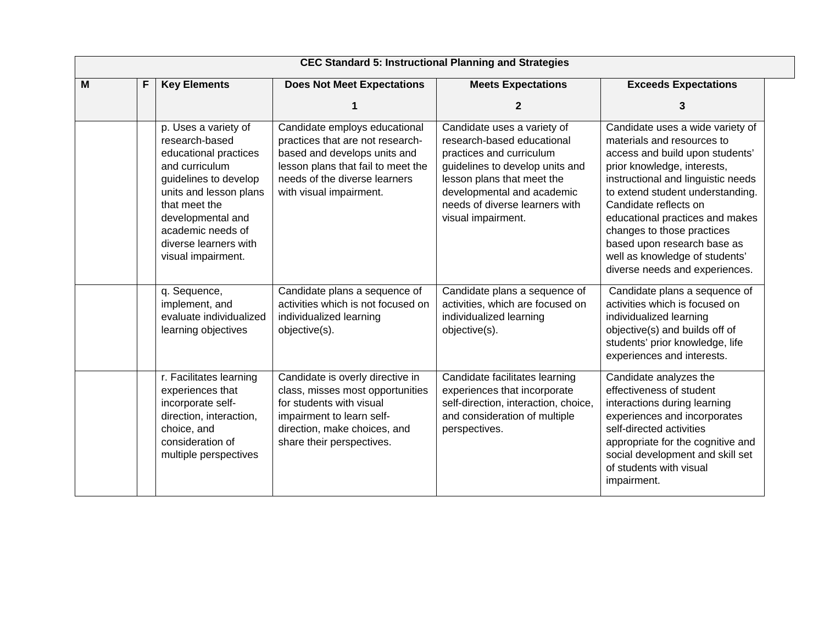|   |   | <b>CEC Standard 5: Instructional Planning and Strategies</b>                                                                                                                                                                                   |                                                                                                                                                                                                     |                                                                                                                                                                                                                                              |                                                                                                                                                                                                                                                                                                                                                                                                         |  |
|---|---|------------------------------------------------------------------------------------------------------------------------------------------------------------------------------------------------------------------------------------------------|-----------------------------------------------------------------------------------------------------------------------------------------------------------------------------------------------------|----------------------------------------------------------------------------------------------------------------------------------------------------------------------------------------------------------------------------------------------|---------------------------------------------------------------------------------------------------------------------------------------------------------------------------------------------------------------------------------------------------------------------------------------------------------------------------------------------------------------------------------------------------------|--|
| M | F | <b>Key Elements</b>                                                                                                                                                                                                                            | <b>Does Not Meet Expectations</b>                                                                                                                                                                   | <b>Meets Expectations</b>                                                                                                                                                                                                                    | <b>Exceeds Expectations</b>                                                                                                                                                                                                                                                                                                                                                                             |  |
|   |   |                                                                                                                                                                                                                                                |                                                                                                                                                                                                     | $\overline{2}$                                                                                                                                                                                                                               | 3                                                                                                                                                                                                                                                                                                                                                                                                       |  |
|   |   | p. Uses a variety of<br>research-based<br>educational practices<br>and curriculum<br>guidelines to develop<br>units and lesson plans<br>that meet the<br>developmental and<br>academic needs of<br>diverse learners with<br>visual impairment. | Candidate employs educational<br>practices that are not research-<br>based and develops units and<br>lesson plans that fail to meet the<br>needs of the diverse learners<br>with visual impairment. | Candidate uses a variety of<br>research-based educational<br>practices and curriculum<br>guidelines to develop units and<br>lesson plans that meet the<br>developmental and academic<br>needs of diverse learners with<br>visual impairment. | Candidate uses a wide variety of<br>materials and resources to<br>access and build upon students'<br>prior knowledge, interests,<br>instructional and linguistic needs<br>to extend student understanding.<br>Candidate reflects on<br>educational practices and makes<br>changes to those practices<br>based upon research base as<br>well as knowledge of students'<br>diverse needs and experiences. |  |
|   |   | q. Sequence,<br>implement, and<br>evaluate individualized<br>learning objectives                                                                                                                                                               | Candidate plans a sequence of<br>activities which is not focused on<br>individualized learning<br>objective(s).                                                                                     | Candidate plans a sequence of<br>activities, which are focused on<br>individualized learning<br>objective(s).                                                                                                                                | Candidate plans a sequence of<br>activities which is focused on<br>individualized learning<br>objective(s) and builds off of<br>students' prior knowledge, life<br>experiences and interests.                                                                                                                                                                                                           |  |
|   |   | r. Facilitates learning<br>experiences that<br>incorporate self-<br>direction, interaction,<br>choice, and<br>consideration of<br>multiple perspectives                                                                                        | Candidate is overly directive in<br>class, misses most opportunities<br>for students with visual<br>impairment to learn self-<br>direction, make choices, and<br>share their perspectives.          | Candidate facilitates learning<br>experiences that incorporate<br>self-direction, interaction, choice,<br>and consideration of multiple<br>perspectives.                                                                                     | Candidate analyzes the<br>effectiveness of student<br>interactions during learning<br>experiences and incorporates<br>self-directed activities<br>appropriate for the cognitive and<br>social development and skill set<br>of students with visual<br>impairment.                                                                                                                                       |  |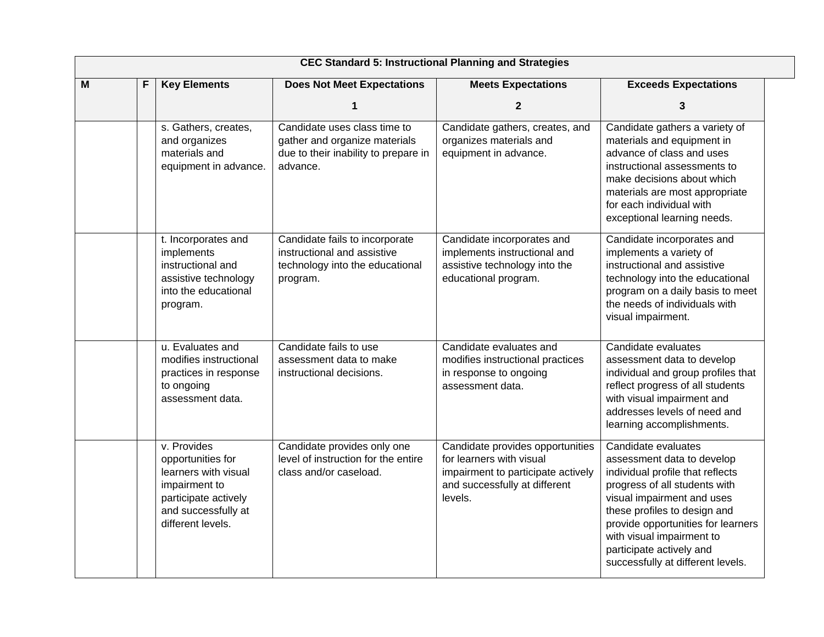|   | <b>CEC Standard 5: Instructional Planning and Strategies</b> |                                                                                                                                               |                                                                                                                   |                                                                                                                                                |                                                                                                                                                                                                                                                                                                                          |  |
|---|--------------------------------------------------------------|-----------------------------------------------------------------------------------------------------------------------------------------------|-------------------------------------------------------------------------------------------------------------------|------------------------------------------------------------------------------------------------------------------------------------------------|--------------------------------------------------------------------------------------------------------------------------------------------------------------------------------------------------------------------------------------------------------------------------------------------------------------------------|--|
| M | F                                                            | <b>Key Elements</b>                                                                                                                           | <b>Does Not Meet Expectations</b>                                                                                 | <b>Meets Expectations</b>                                                                                                                      | <b>Exceeds Expectations</b>                                                                                                                                                                                                                                                                                              |  |
|   |                                                              |                                                                                                                                               |                                                                                                                   | $\mathbf{2}$                                                                                                                                   | 3                                                                                                                                                                                                                                                                                                                        |  |
|   |                                                              | s. Gathers, creates,<br>and organizes<br>materials and<br>equipment in advance.                                                               | Candidate uses class time to<br>gather and organize materials<br>due to their inability to prepare in<br>advance. | Candidate gathers, creates, and<br>organizes materials and<br>equipment in advance.                                                            | Candidate gathers a variety of<br>materials and equipment in<br>advance of class and uses<br>instructional assessments to<br>make decisions about which<br>materials are most appropriate<br>for each individual with<br>exceptional learning needs.                                                                     |  |
|   |                                                              | t. Incorporates and<br>implements<br>instructional and<br>assistive technology<br>into the educational<br>program.                            | Candidate fails to incorporate<br>instructional and assistive<br>technology into the educational<br>program.      | Candidate incorporates and<br>implements instructional and<br>assistive technology into the<br>educational program.                            | Candidate incorporates and<br>implements a variety of<br>instructional and assistive<br>technology into the educational<br>program on a daily basis to meet<br>the needs of individuals with<br>visual impairment.                                                                                                       |  |
|   |                                                              | u. Evaluates and<br>modifies instructional<br>practices in response<br>to ongoing<br>assessment data.                                         | Candidate fails to use<br>assessment data to make<br>instructional decisions.                                     | Candidate evaluates and<br>modifies instructional practices<br>in response to ongoing<br>assessment data.                                      | Candidate evaluates<br>assessment data to develop<br>individual and group profiles that<br>reflect progress of all students<br>with visual impairment and<br>addresses levels of need and<br>learning accomplishments.                                                                                                   |  |
|   |                                                              | v. Provides<br>opportunities for<br>learners with visual<br>impairment to<br>participate actively<br>and successfully at<br>different levels. | Candidate provides only one<br>level of instruction for the entire<br>class and/or caseload.                      | Candidate provides opportunities<br>for learners with visual<br>impairment to participate actively<br>and successfully at different<br>levels. | Candidate evaluates<br>assessment data to develop<br>individual profile that reflects<br>progress of all students with<br>visual impairment and uses<br>these profiles to design and<br>provide opportunities for learners<br>with visual impairment to<br>participate actively and<br>successfully at different levels. |  |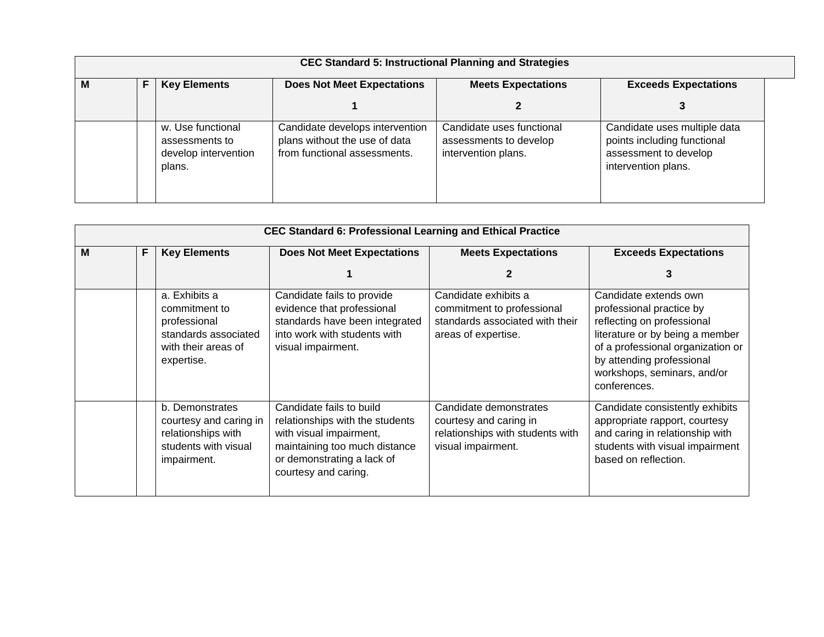| <b>CEC Standard 5: Instructional Planning and Strategies</b> |  |                                                                       |                                                                                                  |                                                                            |                                                                                                             |
|--------------------------------------------------------------|--|-----------------------------------------------------------------------|--------------------------------------------------------------------------------------------------|----------------------------------------------------------------------------|-------------------------------------------------------------------------------------------------------------|
| F<br><b>Key Elements</b><br>М                                |  |                                                                       | <b>Does Not Meet Expectations</b>                                                                | <b>Meets Expectations</b>                                                  | <b>Exceeds Expectations</b>                                                                                 |
|                                                              |  |                                                                       |                                                                                                  |                                                                            |                                                                                                             |
|                                                              |  | w. Use functional<br>assessments to<br>develop intervention<br>plans. | Candidate develops intervention<br>plans without the use of data<br>from functional assessments. | Candidate uses functional<br>assessments to develop<br>intervention plans. | Candidate uses multiple data<br>points including functional<br>assessment to develop<br>intervention plans. |

| M | F | <b>Key Elements</b>                                                                                         | <b>Does Not Meet Expectations</b>                                                                                                                                             | <b>Meets Expectations</b>                                                                                    | <b>Exceeds Expectations</b>                                                                                                                                                                                                         |
|---|---|-------------------------------------------------------------------------------------------------------------|-------------------------------------------------------------------------------------------------------------------------------------------------------------------------------|--------------------------------------------------------------------------------------------------------------|-------------------------------------------------------------------------------------------------------------------------------------------------------------------------------------------------------------------------------------|
|   |   |                                                                                                             |                                                                                                                                                                               |                                                                                                              | 3                                                                                                                                                                                                                                   |
|   |   | a. Exhibits a<br>commitment to<br>professional<br>standards associated<br>with their areas of<br>expertise. | Candidate fails to provide<br>evidence that professional<br>standards have been integrated<br>into work with students with<br>visual impairment.                              | Candidate exhibits a<br>commitment to professional<br>standards associated with their<br>areas of expertise. | Candidate extends own<br>professional practice by<br>reflecting on professional<br>literature or by being a member<br>of a professional organization or<br>by attending professional<br>workshops, seminars, and/or<br>conferences. |
|   |   | b. Demonstrates<br>courtesy and caring in<br>relationships with<br>students with visual<br>impairment.      | Candidate fails to build<br>relationships with the students<br>with visual impairment,<br>maintaining too much distance<br>or demonstrating a lack of<br>courtesy and caring. | Candidate demonstrates<br>courtesy and caring in<br>relationships with students with<br>visual impairment.   | Candidate consistently exhibits<br>appropriate rapport, courtesy<br>and caring in relationship with<br>students with visual impairment<br>based on reflection.                                                                      |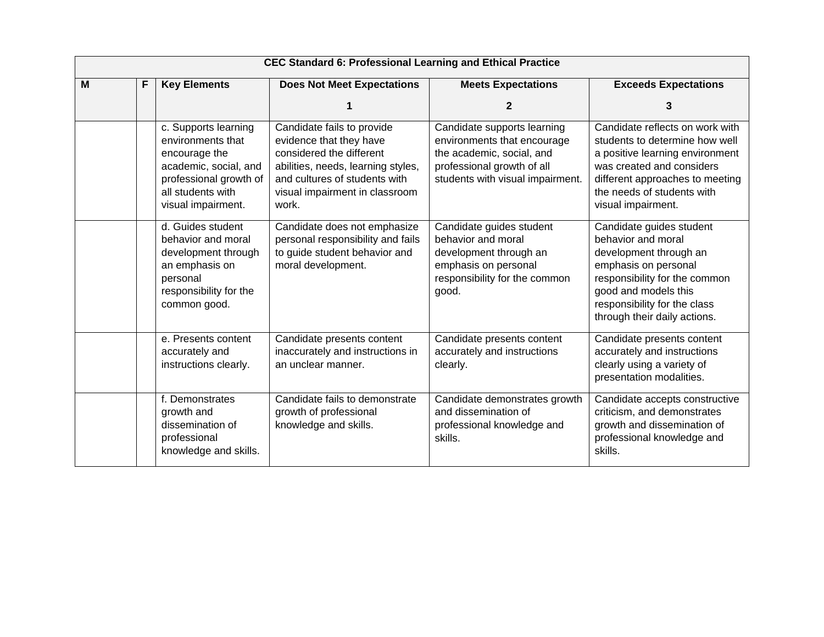|   | <b>CEC Standard 6: Professional Learning and Ethical Practice</b> |                                                                                                                                                          |                                                                                                                                                                                                     |                                                                                                                                                           |                                                                                                                                                                                                                           |  |  |
|---|-------------------------------------------------------------------|----------------------------------------------------------------------------------------------------------------------------------------------------------|-----------------------------------------------------------------------------------------------------------------------------------------------------------------------------------------------------|-----------------------------------------------------------------------------------------------------------------------------------------------------------|---------------------------------------------------------------------------------------------------------------------------------------------------------------------------------------------------------------------------|--|--|
| M | F                                                                 | <b>Key Elements</b>                                                                                                                                      | <b>Does Not Meet Expectations</b>                                                                                                                                                                   | <b>Meets Expectations</b>                                                                                                                                 | <b>Exceeds Expectations</b>                                                                                                                                                                                               |  |  |
|   |                                                                   |                                                                                                                                                          |                                                                                                                                                                                                     |                                                                                                                                                           | 3                                                                                                                                                                                                                         |  |  |
|   |                                                                   | c. Supports learning<br>environments that<br>encourage the<br>academic, social, and<br>professional growth of<br>all students with<br>visual impairment. | Candidate fails to provide<br>evidence that they have<br>considered the different<br>abilities, needs, learning styles,<br>and cultures of students with<br>visual impairment in classroom<br>work. | Candidate supports learning<br>environments that encourage<br>the academic, social, and<br>professional growth of all<br>students with visual impairment. | Candidate reflects on work with<br>students to determine how well<br>a positive learning environment<br>was created and considers<br>different approaches to meeting<br>the needs of students with<br>visual impairment.  |  |  |
|   |                                                                   | d. Guides student<br>behavior and moral<br>development through<br>an emphasis on<br>personal<br>responsibility for the<br>common good.                   | Candidate does not emphasize<br>personal responsibility and fails<br>to guide student behavior and<br>moral development.                                                                            | Candidate guides student<br>behavior and moral<br>development through an<br>emphasis on personal<br>responsibility for the common<br>good.                | Candidate guides student<br>behavior and moral<br>development through an<br>emphasis on personal<br>responsibility for the common<br>good and models this<br>responsibility for the class<br>through their daily actions. |  |  |
|   |                                                                   | e. Presents content<br>accurately and<br>instructions clearly.                                                                                           | Candidate presents content<br>inaccurately and instructions in<br>an unclear manner.                                                                                                                | Candidate presents content<br>accurately and instructions<br>clearly.                                                                                     | Candidate presents content<br>accurately and instructions<br>clearly using a variety of<br>presentation modalities.                                                                                                       |  |  |
|   |                                                                   | f. Demonstrates<br>growth and<br>dissemination of<br>professional<br>knowledge and skills.                                                               | Candidate fails to demonstrate<br>growth of professional<br>knowledge and skills.                                                                                                                   | Candidate demonstrates growth<br>and dissemination of<br>professional knowledge and<br>skills.                                                            | Candidate accepts constructive<br>criticism, and demonstrates<br>growth and dissemination of<br>professional knowledge and<br>skills.                                                                                     |  |  |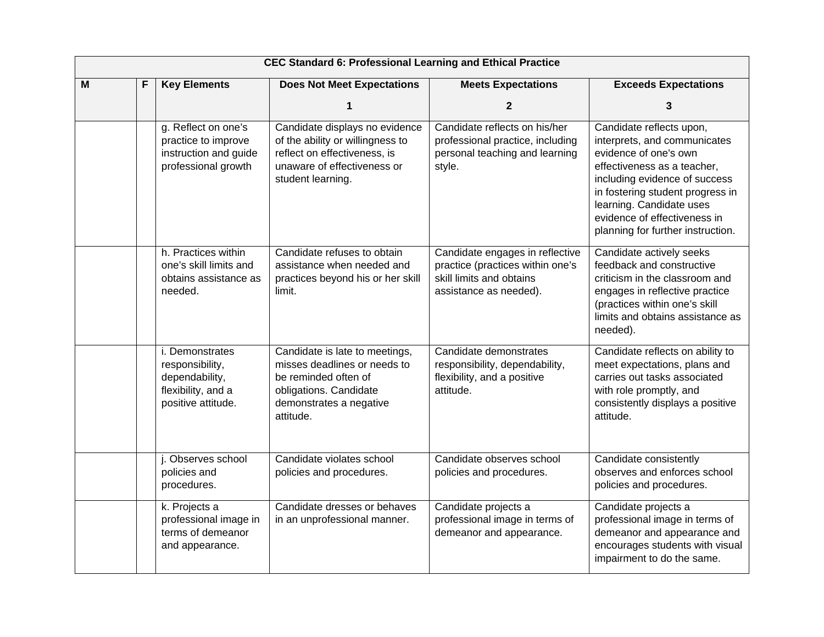|   | <b>CEC Standard 6: Professional Learning and Ethical Practice</b> |                                                                                                  |                                                                                                                                                          |                                                                                                                           |                                                                                                                                                                                                                                                                                        |  |
|---|-------------------------------------------------------------------|--------------------------------------------------------------------------------------------------|----------------------------------------------------------------------------------------------------------------------------------------------------------|---------------------------------------------------------------------------------------------------------------------------|----------------------------------------------------------------------------------------------------------------------------------------------------------------------------------------------------------------------------------------------------------------------------------------|--|
| M | F                                                                 | <b>Key Elements</b>                                                                              | <b>Does Not Meet Expectations</b>                                                                                                                        | <b>Meets Expectations</b>                                                                                                 | <b>Exceeds Expectations</b>                                                                                                                                                                                                                                                            |  |
|   |                                                                   |                                                                                                  | 1                                                                                                                                                        | $\mathbf{2}$                                                                                                              | 3                                                                                                                                                                                                                                                                                      |  |
|   |                                                                   | g. Reflect on one's<br>practice to improve<br>instruction and guide<br>professional growth       | Candidate displays no evidence<br>of the ability or willingness to<br>reflect on effectiveness, is<br>unaware of effectiveness or<br>student learning.   | Candidate reflects on his/her<br>professional practice, including<br>personal teaching and learning<br>style.             | Candidate reflects upon,<br>interprets, and communicates<br>evidence of one's own<br>effectiveness as a teacher,<br>including evidence of success<br>in fostering student progress in<br>learning. Candidate uses<br>evidence of effectiveness in<br>planning for further instruction. |  |
|   |                                                                   | h. Practices within<br>one's skill limits and<br>obtains assistance as<br>needed.                | Candidate refuses to obtain<br>assistance when needed and<br>practices beyond his or her skill<br>limit.                                                 | Candidate engages in reflective<br>practice (practices within one's<br>skill limits and obtains<br>assistance as needed). | Candidate actively seeks<br>feedback and constructive<br>criticism in the classroom and<br>engages in reflective practice<br>(practices within one's skill<br>limits and obtains assistance as<br>needed).                                                                             |  |
|   |                                                                   | i. Demonstrates<br>responsibility,<br>dependability,<br>flexibility, and a<br>positive attitude. | Candidate is late to meetings,<br>misses deadlines or needs to<br>be reminded often of<br>obligations. Candidate<br>demonstrates a negative<br>attitude. | Candidate demonstrates<br>responsibility, dependability,<br>flexibility, and a positive<br>attitude.                      | Candidate reflects on ability to<br>meet expectations, plans and<br>carries out tasks associated<br>with role promptly, and<br>consistently displays a positive<br>attitude.                                                                                                           |  |
|   |                                                                   | j. Observes school<br>policies and<br>procedures.                                                | Candidate violates school<br>policies and procedures.                                                                                                    | Candidate observes school<br>policies and procedures.                                                                     | Candidate consistently<br>observes and enforces school<br>policies and procedures.                                                                                                                                                                                                     |  |
|   |                                                                   | k. Projects a<br>professional image in<br>terms of demeanor<br>and appearance.                   | Candidate dresses or behaves<br>in an unprofessional manner.                                                                                             | Candidate projects a<br>professional image in terms of<br>demeanor and appearance.                                        | Candidate projects a<br>professional image in terms of<br>demeanor and appearance and<br>encourages students with visual<br>impairment to do the same.                                                                                                                                 |  |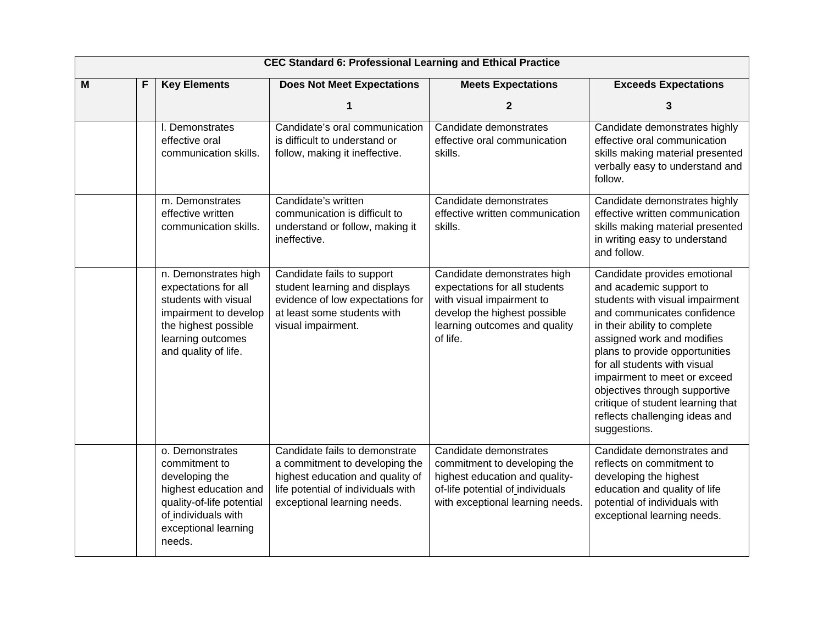|   | <b>CEC Standard 6: Professional Learning and Ethical Practice</b> |                                                                                                                                                                    |                                                                                                                                                                           |                                                                                                                                                                        |                                                                                                                                                                                                                                                                                                                                                                                                                   |  |  |
|---|-------------------------------------------------------------------|--------------------------------------------------------------------------------------------------------------------------------------------------------------------|---------------------------------------------------------------------------------------------------------------------------------------------------------------------------|------------------------------------------------------------------------------------------------------------------------------------------------------------------------|-------------------------------------------------------------------------------------------------------------------------------------------------------------------------------------------------------------------------------------------------------------------------------------------------------------------------------------------------------------------------------------------------------------------|--|--|
| M | F                                                                 | <b>Key Elements</b>                                                                                                                                                | <b>Does Not Meet Expectations</b>                                                                                                                                         | <b>Meets Expectations</b>                                                                                                                                              | <b>Exceeds Expectations</b>                                                                                                                                                                                                                                                                                                                                                                                       |  |  |
|   |                                                                   |                                                                                                                                                                    |                                                                                                                                                                           | $\mathbf{2}$                                                                                                                                                           | 3                                                                                                                                                                                                                                                                                                                                                                                                                 |  |  |
|   |                                                                   | I. Demonstrates<br>effective oral<br>communication skills.                                                                                                         | Candidate's oral communication<br>is difficult to understand or<br>follow, making it ineffective.                                                                         | Candidate demonstrates<br>effective oral communication<br>skills.                                                                                                      | Candidate demonstrates highly<br>effective oral communication<br>skills making material presented<br>verbally easy to understand and<br>follow.                                                                                                                                                                                                                                                                   |  |  |
|   |                                                                   | m. Demonstrates<br>effective written<br>communication skills.                                                                                                      | Candidate's written<br>communication is difficult to<br>understand or follow, making it<br>ineffective.                                                                   | Candidate demonstrates<br>effective written communication<br>skills.                                                                                                   | Candidate demonstrates highly<br>effective written communication<br>skills making material presented<br>in writing easy to understand<br>and follow.                                                                                                                                                                                                                                                              |  |  |
|   |                                                                   | n. Demonstrates high<br>expectations for all<br>students with visual<br>impairment to develop<br>the highest possible<br>learning outcomes<br>and quality of life. | Candidate fails to support<br>student learning and displays<br>evidence of low expectations for<br>at least some students with<br>visual impairment.                      | Candidate demonstrates high<br>expectations for all students<br>with visual impairment to<br>develop the highest possible<br>learning outcomes and quality<br>of life. | Candidate provides emotional<br>and academic support to<br>students with visual impairment<br>and communicates confidence<br>in their ability to complete<br>assigned work and modifies<br>plans to provide opportunities<br>for all students with visual<br>impairment to meet or exceed<br>objectives through supportive<br>critique of student learning that<br>reflects challenging ideas and<br>suggestions. |  |  |
|   |                                                                   | o. Demonstrates<br>commitment to<br>developing the<br>highest education and<br>quality-of-life potential<br>of individuals with<br>exceptional learning<br>needs.  | Candidate fails to demonstrate<br>a commitment to developing the<br>highest education and quality of<br>life potential of individuals with<br>exceptional learning needs. | Candidate demonstrates<br>commitment to developing the<br>highest education and quality-<br>of-life potential of individuals<br>with exceptional learning needs.       | Candidate demonstrates and<br>reflects on commitment to<br>developing the highest<br>education and quality of life<br>potential of individuals with<br>exceptional learning needs.                                                                                                                                                                                                                                |  |  |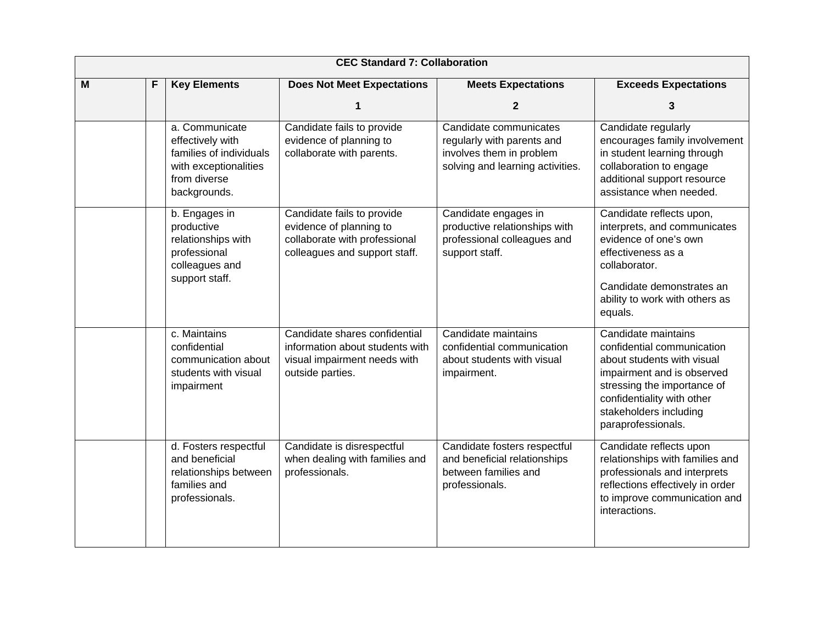|   | <b>CEC Standard 7: Collaboration</b> |                                                                                                                        |                                                                                                                         |                                                                                                                      |                                                                                                                                                                                                                            |  |  |
|---|--------------------------------------|------------------------------------------------------------------------------------------------------------------------|-------------------------------------------------------------------------------------------------------------------------|----------------------------------------------------------------------------------------------------------------------|----------------------------------------------------------------------------------------------------------------------------------------------------------------------------------------------------------------------------|--|--|
| M | F                                    | <b>Key Elements</b>                                                                                                    | <b>Does Not Meet Expectations</b>                                                                                       | <b>Meets Expectations</b>                                                                                            | <b>Exceeds Expectations</b>                                                                                                                                                                                                |  |  |
|   |                                      |                                                                                                                        | 1                                                                                                                       | $\mathbf{2}$                                                                                                         | 3                                                                                                                                                                                                                          |  |  |
|   |                                      | a. Communicate<br>effectively with<br>families of individuals<br>with exceptionalities<br>from diverse<br>backgrounds. | Candidate fails to provide<br>evidence of planning to<br>collaborate with parents.                                      | Candidate communicates<br>regularly with parents and<br>involves them in problem<br>solving and learning activities. | Candidate regularly<br>encourages family involvement<br>in student learning through<br>collaboration to engage<br>additional support resource<br>assistance when needed.                                                   |  |  |
|   |                                      | b. Engages in<br>productive<br>relationships with<br>professional<br>colleagues and<br>support staff.                  | Candidate fails to provide<br>evidence of planning to<br>collaborate with professional<br>colleagues and support staff. | Candidate engages in<br>productive relationships with<br>professional colleagues and<br>support staff.               | Candidate reflects upon,<br>interprets, and communicates<br>evidence of one's own<br>effectiveness as a<br>collaborator.                                                                                                   |  |  |
|   |                                      |                                                                                                                        |                                                                                                                         |                                                                                                                      | Candidate demonstrates an<br>ability to work with others as<br>equals.                                                                                                                                                     |  |  |
|   |                                      | c. Maintains<br>confidential<br>communication about<br>students with visual<br>impairment                              | Candidate shares confidential<br>information about students with<br>visual impairment needs with<br>outside parties.    | Candidate maintains<br>confidential communication<br>about students with visual<br>impairment.                       | Candidate maintains<br>confidential communication<br>about students with visual<br>impairment and is observed<br>stressing the importance of<br>confidentiality with other<br>stakeholders including<br>paraprofessionals. |  |  |
|   |                                      | d. Fosters respectful<br>and beneficial<br>relationships between<br>families and<br>professionals.                     | Candidate is disrespectful<br>when dealing with families and<br>professionals.                                          | Candidate fosters respectful<br>and beneficial relationships<br>between families and<br>professionals.               | Candidate reflects upon<br>relationships with families and<br>professionals and interprets<br>reflections effectively in order<br>to improve communication and<br>interactions.                                            |  |  |